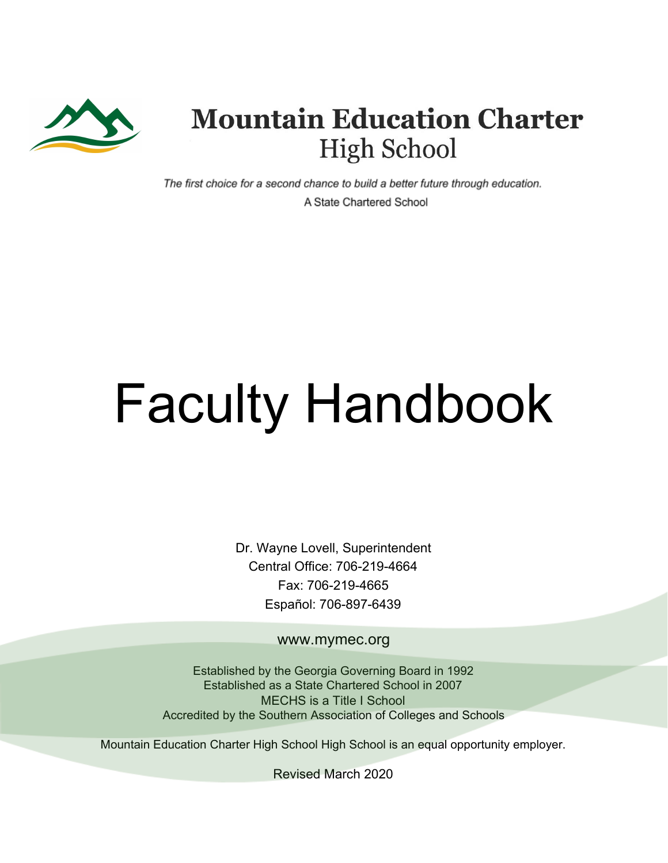

## **Mountain Education Charter High School**

The first choice for a second chance to build a better future through education. A State Chartered School

# Faculty Handbook

Dr. Wayne Lovell, Superintendent Central Office: 706-219-4664 Fax: 706-219-4665 Español: 706-897-6439

www.mymec.org

Established by the Georgia Governing Board in 1992 Established as a State Chartered School in 2007 MECHS is a Title I School Accredited by the Southern Association of Colleges and Schools

Mountain Education Charter High School High School is an equal opportunity employer.

Revised March 2020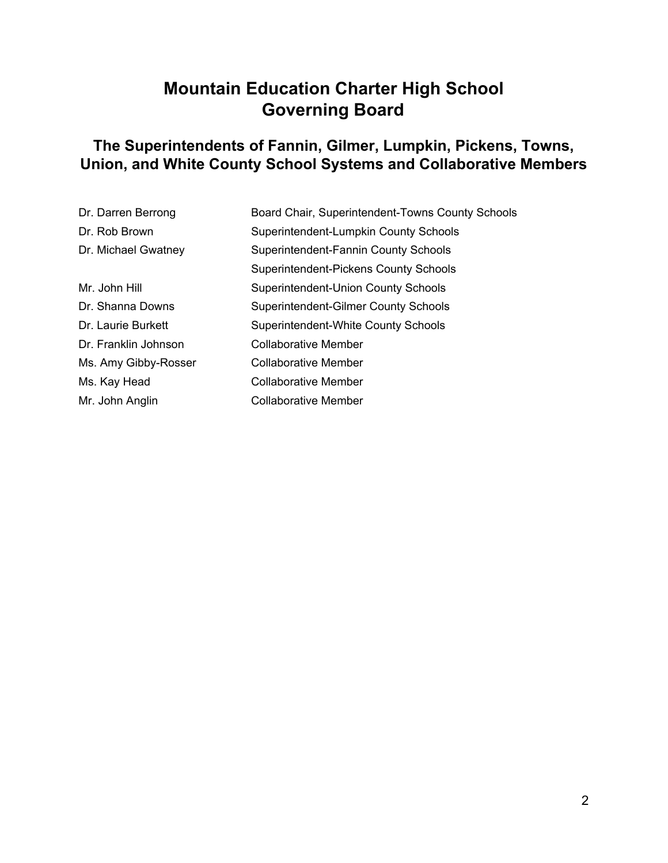## **Mountain Education Charter High School Governing Board**

#### **The Superintendents of Fannin, Gilmer, Lumpkin, Pickens, Towns, Union, and White County School Systems and Collaborative Members**

| Dr. Darren Berrong   | Board Chair, Superintendent-Towns County Schools |
|----------------------|--------------------------------------------------|
| Dr. Rob Brown        | Superintendent-Lumpkin County Schools            |
| Dr. Michael Gwatney  | Superintendent-Fannin County Schools             |
|                      | Superintendent-Pickens County Schools            |
| Mr. John Hill        | <b>Superintendent-Union County Schools</b>       |
| Dr. Shanna Downs     | Superintendent-Gilmer County Schools             |
| Dr. Laurie Burkett   | Superintendent-White County Schools              |
| Dr. Franklin Johnson | <b>Collaborative Member</b>                      |
| Ms. Amy Gibby-Rosser | <b>Collaborative Member</b>                      |
| Ms. Kay Head         | Collaborative Member                             |
| Mr. John Anglin      | Collaborative Member                             |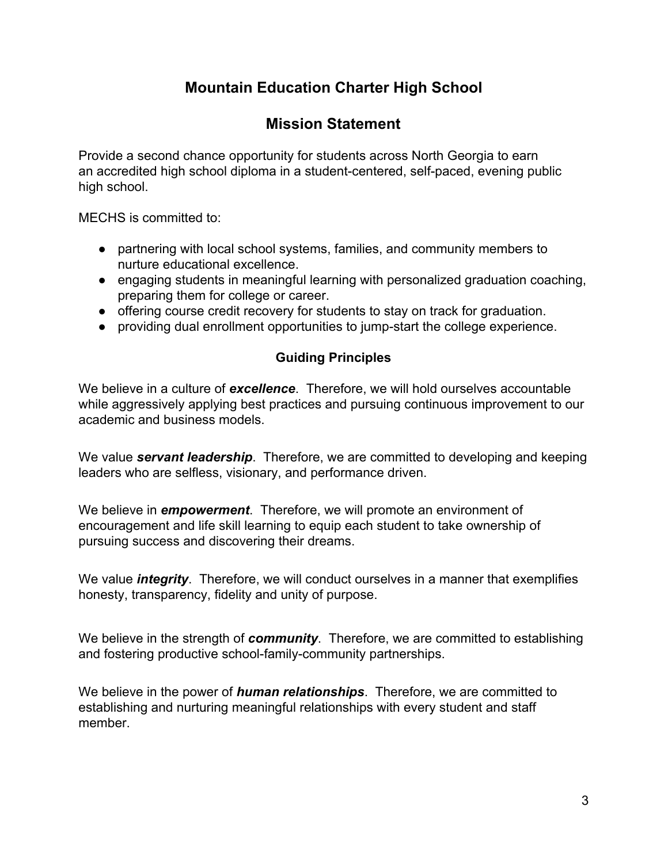## **Mountain Education Charter High School**

#### **Mission Statement**

Provide a second chance opportunity for students across North Georgia to earn an accredited high school diploma in a student-centered, self-paced, evening public high school.

MECHS is committed to:

- partnering with local school systems, families, and community members to nurture educational excellence.
- engaging students in meaningful learning with personalized graduation coaching, preparing them for college or career.
- offering course credit recovery for students to stay on track for graduation.
- providing dual enrollment opportunities to jump-start the college experience.

#### **Guiding Principles**

We believe in a culture of *excellence*. Therefore, we will hold ourselves accountable while aggressively applying best practices and pursuing continuous improvement to our academic and business models.

We value *servant leadership*. Therefore, we are committed to developing and keeping leaders who are selfless, visionary, and performance driven.

We believe in *empowerment*. Therefore, we will promote an environment of encouragement and life skill learning to equip each student to take ownership of pursuing success and discovering their dreams.

We value *integrity*. Therefore, we will conduct ourselves in a manner that exemplifies honesty, transparency, fidelity and unity of purpose.

We believe in the strength of *community*. Therefore, we are committed to establishing and fostering productive school-family-community partnerships.

We believe in the power of *human relationships*. Therefore, we are committed to establishing and nurturing meaningful relationships with every student and staff member.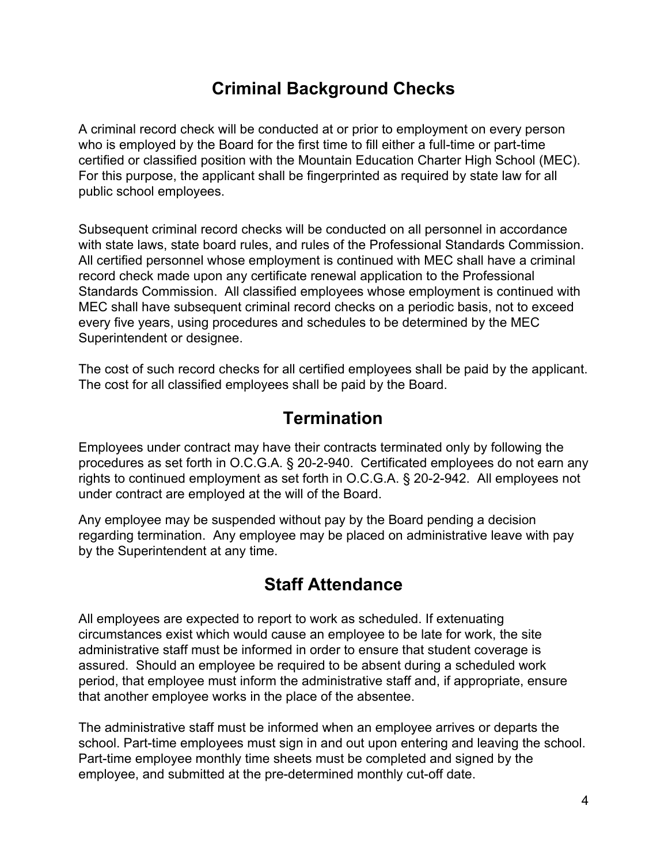## **Criminal Background Checks**

A criminal record check will be conducted at or prior to employment on every person who is employed by the Board for the first time to fill either a full-time or part-time certified or classified position with the Mountain Education Charter High School (MEC). For this purpose, the applicant shall be fingerprinted as required by state law for all public school employees.

Subsequent criminal record checks will be conducted on all personnel in accordance with state laws, state board rules, and rules of the Professional Standards Commission. All certified personnel whose employment is continued with MEC shall have a criminal record check made upon any certificate renewal application to the Professional Standards Commission. All classified employees whose employment is continued with MEC shall have subsequent criminal record checks on a periodic basis, not to exceed every five years, using procedures and schedules to be determined by the MEC Superintendent or designee.

The cost of such record checks for all certified employees shall be paid by the applicant. The cost for all classified employees shall be paid by the Board.

## **Termination**

Employees under contract may have their contracts terminated only by following the procedures as set forth in O.C.G.A. § 20-2-940. Certificated employees do not earn any rights to continued employment as set forth in O.C.G.A. § 20-2-942. All employees not under contract are employed at the will of the Board.

Any employee may be suspended without pay by the Board pending a decision regarding termination. Any employee may be placed on administrative leave with pay by the Superintendent at any time.

## **Staff Attendance**

All employees are expected to report to work as scheduled. If extenuating circumstances exist which would cause an employee to be late for work, the site administrative staff must be informed in order to ensure that student coverage is assured. Should an employee be required to be absent during a scheduled work period, that employee must inform the administrative staff and, if appropriate, ensure that another employee works in the place of the absentee.

The administrative staff must be informed when an employee arrives or departs the school. Part-time employees must sign in and out upon entering and leaving the school. Part-time employee monthly time sheets must be completed and signed by the employee, and submitted at the pre-determined monthly cut-off date.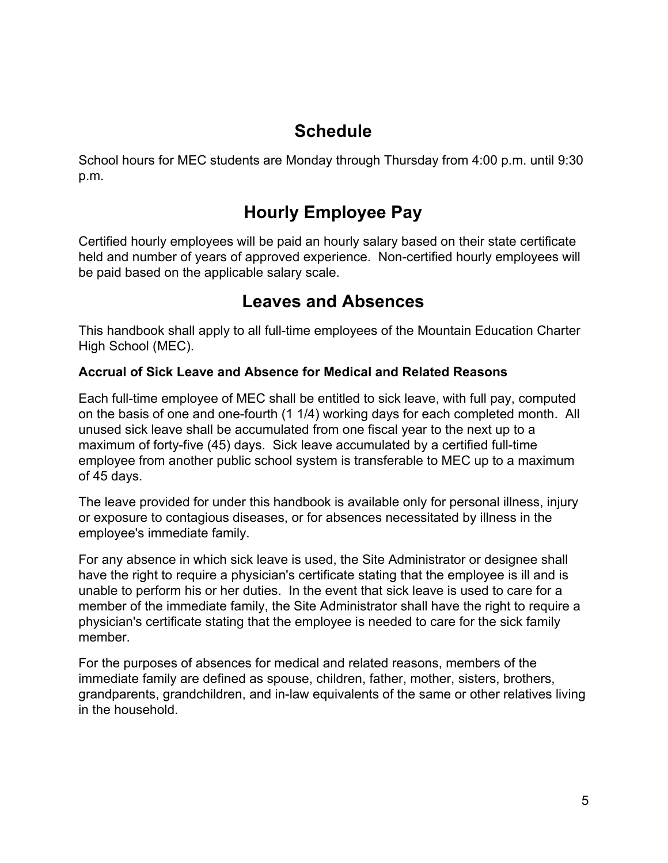## **Schedule**

School hours for MEC students are Monday through Thursday from 4:00 p.m. until 9:30 p.m.

## **Hourly Employee Pay**

Certified hourly employees will be paid an hourly salary based on their state certificate held and number of years of approved experience. Non-certified hourly employees will be paid based on the applicable salary scale.

## **Leaves and Absences**

This handbook shall apply to all full-time employees of the Mountain Education Charter High School (MEC).

#### **Accrual of Sick Leave and Absence for Medical and Related Reasons**

Each full-time employee of MEC shall be entitled to sick leave, with full pay, computed on the basis of one and one-fourth (1 1/4) working days for each completed month. All unused sick leave shall be accumulated from one fiscal year to the next up to a maximum of forty-five (45) days. Sick leave accumulated by a certified full-time employee from another public school system is transferable to MEC up to a maximum of 45 days.

The leave provided for under this handbook is available only for personal illness, injury or exposure to contagious diseases, or for absences necessitated by illness in the employee's immediate family.

For any absence in which sick leave is used, the Site Administrator or designee shall have the right to require a physician's certificate stating that the employee is ill and is unable to perform his or her duties. In the event that sick leave is used to care for a member of the immediate family, the Site Administrator shall have the right to require a physician's certificate stating that the employee is needed to care for the sick family member.

For the purposes of absences for medical and related reasons, members of the immediate family are defined as spouse, children, father, mother, sisters, brothers, grandparents, grandchildren, and in-law equivalents of the same or other relatives living in the household.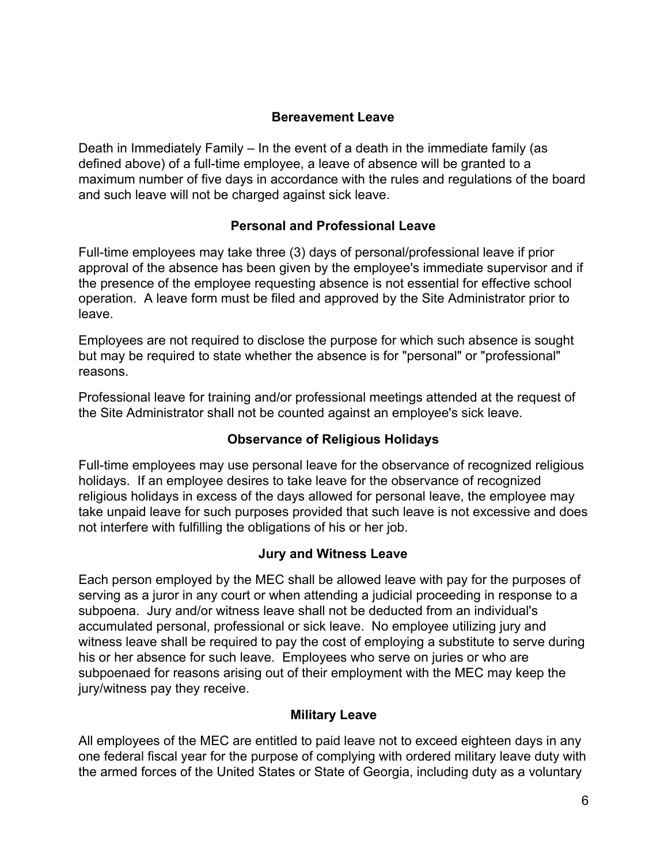#### **Bereavement Leave**

Death in Immediately Family – In the event of a death in the immediate family (as defined above) of a full-time employee, a leave of absence will be granted to a maximum number of five days in accordance with the rules and regulations of the board and such leave will not be charged against sick leave.

#### **Personal and Professional Leave**

Full-time employees may take three (3) days of personal/professional leave if prior approval of the absence has been given by the employee's immediate supervisor and if the presence of the employee requesting absence is not essential for effective school operation. A leave form must be filed and approved by the Site Administrator prior to leave.

Employees are not required to disclose the purpose for which such absence is sought but may be required to state whether the absence is for "personal" or "professional" reasons.

Professional leave for training and/or professional meetings attended at the request of the Site Administrator shall not be counted against an employee's sick leave.

#### **Observance of Religious Holidays**

Full-time employees may use personal leave for the observance of recognized religious holidays. If an employee desires to take leave for the observance of recognized religious holidays in excess of the days allowed for personal leave, the employee may take unpaid leave for such purposes provided that such leave is not excessive and does not interfere with fulfilling the obligations of his or her job.

#### **Jury and Witness Leave**

Each person employed by the MEC shall be allowed leave with pay for the purposes of serving as a juror in any court or when attending a judicial proceeding in response to a subpoena. Jury and/or witness leave shall not be deducted from an individual's accumulated personal, professional or sick leave. No employee utilizing jury and witness leave shall be required to pay the cost of employing a substitute to serve during his or her absence for such leave. Employees who serve on juries or who are subpoenaed for reasons arising out of their employment with the MEC may keep the jury/witness pay they receive.

#### **Military Leave**

All employees of the MEC are entitled to paid leave not to exceed eighteen days in any one federal fiscal year for the purpose of complying with ordered military leave duty with the armed forces of the United States or State of Georgia, including duty as a voluntary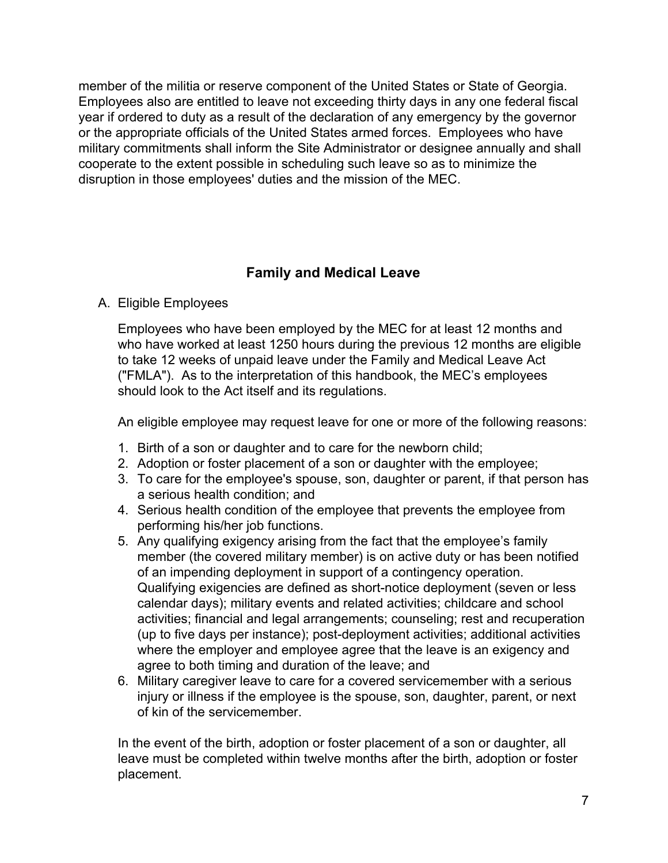member of the militia or reserve component of the United States or State of Georgia. Employees also are entitled to leave not exceeding thirty days in any one federal fiscal year if ordered to duty as a result of the declaration of any emergency by the governor or the appropriate officials of the United States armed forces. Employees who have military commitments shall inform the Site Administrator or designee annually and shall cooperate to the extent possible in scheduling such leave so as to minimize the disruption in those employees' duties and the mission of the MEC.

#### **Family and Medical Leave**

#### A. Eligible Employees

Employees who have been employed by the MEC for at least 12 months and who have worked at least 1250 hours during the previous 12 months are eligible to take 12 weeks of unpaid leave under the Family and Medical Leave Act ("FMLA"). As to the interpretation of this handbook, the MEC's employees should look to the Act itself and its regulations.

An eligible employee may request leave for one or more of the following reasons:

- 1. Birth of a son or daughter and to care for the newborn child;
- 2. Adoption or foster placement of a son or daughter with the employee;
- 3. To care for the employee's spouse, son, daughter or parent, if that person has a serious health condition; and
- 4. Serious health condition of the employee that prevents the employee from performing his/her job functions.
- 5. Any qualifying exigency arising from the fact that the employee's family member (the covered military member) is on active duty or has been notified of an impending deployment in support of a contingency operation. Qualifying exigencies are defined as short-notice deployment (seven or less calendar days); military events and related activities; childcare and school activities; financial and legal arrangements; counseling; rest and recuperation (up to five days per instance); post-deployment activities; additional activities where the employer and employee agree that the leave is an exigency and agree to both timing and duration of the leave; and
- 6. Military caregiver leave to care for a covered servicemember with a serious injury or illness if the employee is the spouse, son, daughter, parent, or next of kin of the servicemember.

In the event of the birth, adoption or foster placement of a son or daughter, all leave must be completed within twelve months after the birth, adoption or foster placement.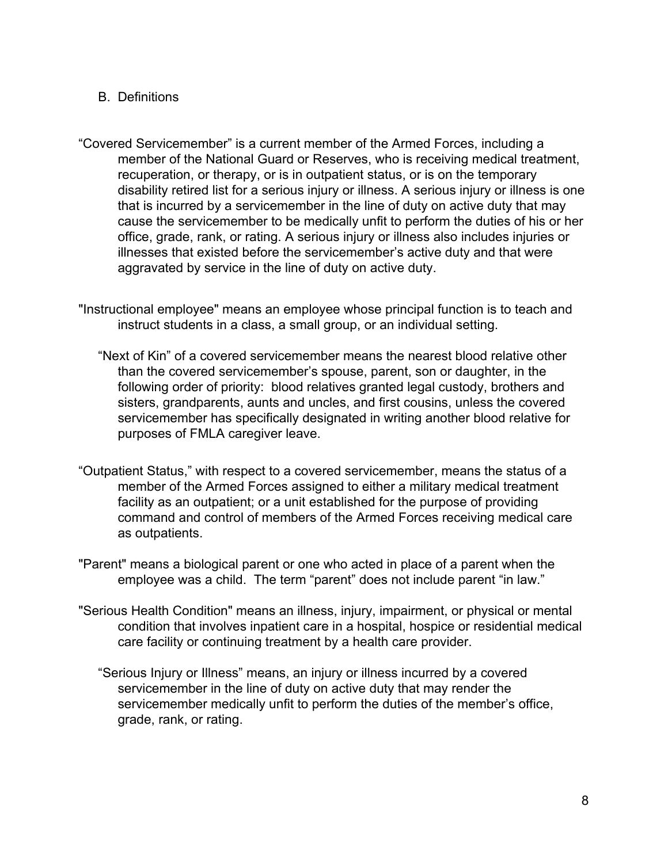#### B. Definitions

- "Covered Servicemember" is a current member of the Armed Forces, including a member of the National Guard or Reserves, who is receiving medical treatment, recuperation, or therapy, or is in outpatient status, or is on the temporary disability retired list for a serious injury or illness. A serious injury or illness is one that is incurred by a servicemember in the line of duty on active duty that may cause the servicemember to be medically unfit to perform the duties of his or her office, grade, rank, or rating. A serious injury or illness also includes injuries or illnesses that existed before the servicemember's active duty and that were aggravated by service in the line of duty on active duty.
- "Instructional employee" means an employee whose principal function is to teach and instruct students in a class, a small group, or an individual setting.
	- "Next of Kin" of a covered servicemember means the nearest blood relative other than the covered servicemember's spouse, parent, son or daughter, in the following order of priority: blood relatives granted legal custody, brothers and sisters, grandparents, aunts and uncles, and first cousins, unless the covered servicemember has specifically designated in writing another blood relative for purposes of FMLA caregiver leave.
- "Outpatient Status," with respect to a covered servicemember, means the status of a member of the Armed Forces assigned to either a military medical treatment facility as an outpatient; or a unit established for the purpose of providing command and control of members of the Armed Forces receiving medical care as outpatients.
- "Parent" means a biological parent or one who acted in place of a parent when the employee was a child. The term "parent" does not include parent "in law."
- "Serious Health Condition" means an illness, injury, impairment, or physical or mental condition that involves inpatient care in a hospital, hospice or residential medical care facility or continuing treatment by a health care provider.
	- "Serious Injury or Illness" means, an injury or illness incurred by a covered servicemember in the line of duty on active duty that may render the servicemember medically unfit to perform the duties of the member's office, grade, rank, or rating.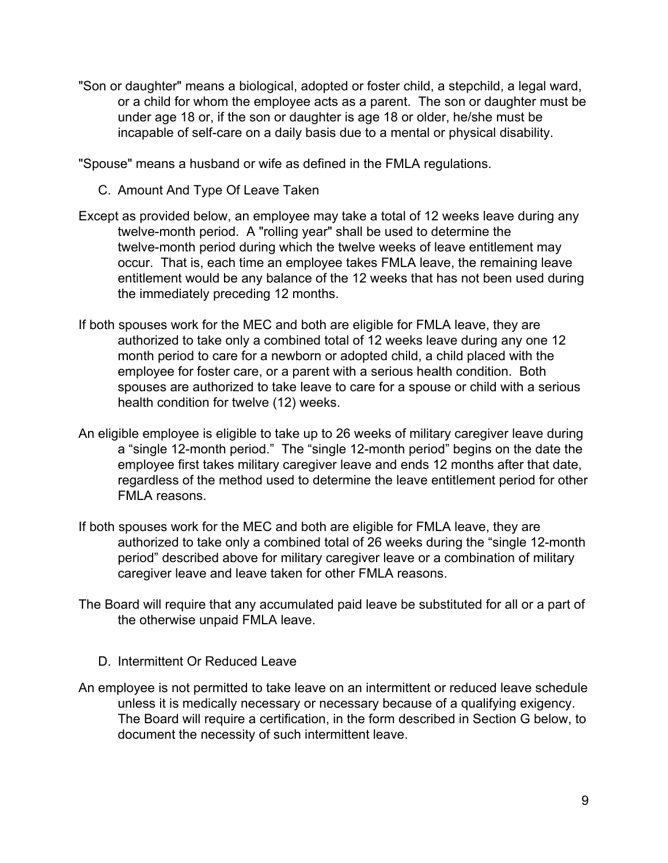"Son or daughter" means a biological, adopted or foster child, a stepchild, a legal ward, or a child for whom the employee acts as a parent. The son or daughter must be under age 18 or, if the son or daughter is age 18 or older, he/she must be incapable of self-care on a daily basis due to a mental or physical disability.

"Spouse" means a husband or wife as defined in the FMLA regulations.

- C. Amount And Type Of Leave Taken
- Except as provided below, an employee may take a total of 12 weeks leave during any twelve-month period. A "rolling year" shall be used to determine the twelve-month period during which the twelve weeks of leave entitlement may occur. That is, each time an employee takes FMLA leave, the remaining leave entitlement would be any balance of the 12 weeks that has not been used during the immediately preceding 12 months.
- If both spouses work for the MEC and both are eligible for FMLA leave, they are authorized to take only a combined total of 12 weeks leave during any one 12 month period to care for a newborn or adopted child, a child placed with the employee for foster care, or a parent with a serious health condition. Both spouses are authorized to take leave to care for a spouse or child with a serious health condition for twelve (12) weeks.
- An eligible employee is eligible to take up to 26 weeks of military caregiver leave during a "single 12-month period." The "single 12-month period" begins on the date the employee first takes military caregiver leave and ends 12 months after that date, regardless of the method used to determine the leave entitlement period for other FMLA reasons.
- If both spouses work for the MEC and both are eligible for FMLA leave, they are authorized to take only a combined total of 26 weeks during the "single 12-month period" described above for military caregiver leave or a combination of military caregiver leave and leave taken for other FMLA reasons.
- The Board will require that any accumulated paid leave be substituted for all or a part of the otherwise unpaid FMLA leave.
	- D. Intermittent Or Reduced Leave
- An employee is not permitted to take leave on an intermittent or reduced leave schedule unless it is medically necessary or necessary because of a qualifying exigency. The Board will require a certification, in the form described in Section G below, to document the necessity of such intermittent leave.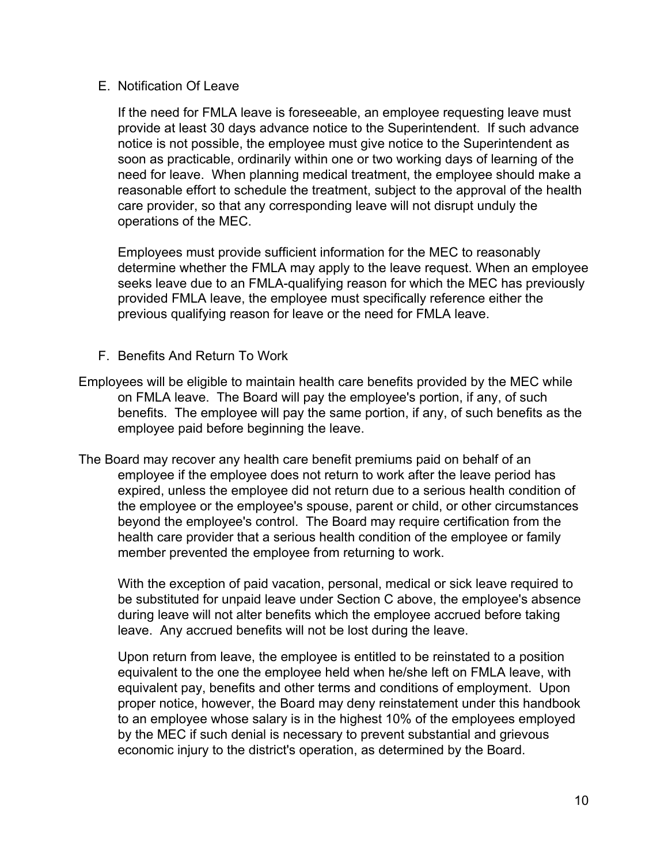#### E. Notification Of Leave

If the need for FMLA leave is foreseeable, an employee requesting leave must provide at least 30 days advance notice to the Superintendent. If such advance notice is not possible, the employee must give notice to the Superintendent as soon as practicable, ordinarily within one or two working days of learning of the need for leave. When planning medical treatment, the employee should make a reasonable effort to schedule the treatment, subject to the approval of the health care provider, so that any corresponding leave will not disrupt unduly the operations of the MEC.

Employees must provide sufficient information for the MEC to reasonably determine whether the FMLA may apply to the leave request. When an employee seeks leave due to an FMLA-qualifying reason for which the MEC has previously provided FMLA leave, the employee must specifically reference either the previous qualifying reason for leave or the need for FMLA leave.

- F. Benefits And Return To Work
- Employees will be eligible to maintain health care benefits provided by the MEC while on FMLA leave. The Board will pay the employee's portion, if any, of such benefits. The employee will pay the same portion, if any, of such benefits as the employee paid before beginning the leave.
- The Board may recover any health care benefit premiums paid on behalf of an employee if the employee does not return to work after the leave period has expired, unless the employee did not return due to a serious health condition of the employee or the employee's spouse, parent or child, or other circumstances beyond the employee's control. The Board may require certification from the health care provider that a serious health condition of the employee or family member prevented the employee from returning to work.

With the exception of paid vacation, personal, medical or sick leave required to be substituted for unpaid leave under Section C above, the employee's absence during leave will not alter benefits which the employee accrued before taking leave. Any accrued benefits will not be lost during the leave.

Upon return from leave, the employee is entitled to be reinstated to a position equivalent to the one the employee held when he/she left on FMLA leave, with equivalent pay, benefits and other terms and conditions of employment. Upon proper notice, however, the Board may deny reinstatement under this handbook to an employee whose salary is in the highest 10% of the employees employed by the MEC if such denial is necessary to prevent substantial and grievous economic injury to the district's operation, as determined by the Board.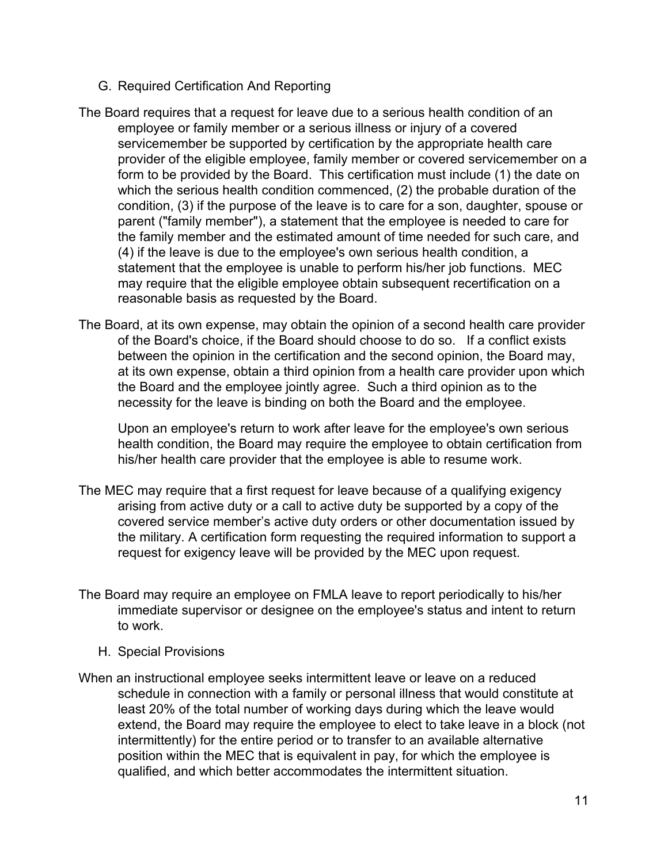- G. Required Certification And Reporting
- The Board requires that a request for leave due to a serious health condition of an employee or family member or a serious illness or injury of a covered servicemember be supported by certification by the appropriate health care provider of the eligible employee, family member or covered servicemember on a form to be provided by the Board. This certification must include (1) the date on which the serious health condition commenced, (2) the probable duration of the condition, (3) if the purpose of the leave is to care for a son, daughter, spouse or parent ("family member"), a statement that the employee is needed to care for the family member and the estimated amount of time needed for such care, and (4) if the leave is due to the employee's own serious health condition, a statement that the employee is unable to perform his/her job functions. MEC may require that the eligible employee obtain subsequent recertification on a reasonable basis as requested by the Board.
- The Board, at its own expense, may obtain the opinion of a second health care provider of the Board's choice, if the Board should choose to do so. If a conflict exists between the opinion in the certification and the second opinion, the Board may, at its own expense, obtain a third opinion from a health care provider upon which the Board and the employee jointly agree. Such a third opinion as to the necessity for the leave is binding on both the Board and the employee.

Upon an employee's return to work after leave for the employee's own serious health condition, the Board may require the employee to obtain certification from his/her health care provider that the employee is able to resume work.

- The MEC may require that a first request for leave because of a qualifying exigency arising from active duty or a call to active duty be supported by a copy of the covered service member's active duty orders or other documentation issued by the military. A certification form requesting the required information to support a request for exigency leave will be provided by the MEC upon request.
- The Board may require an employee on FMLA leave to report periodically to his/her immediate supervisor or designee on the employee's status and intent to return to work.
	- H. Special Provisions
- When an instructional employee seeks intermittent leave or leave on a reduced schedule in connection with a family or personal illness that would constitute at least 20% of the total number of working days during which the leave would extend, the Board may require the employee to elect to take leave in a block (not intermittently) for the entire period or to transfer to an available alternative position within the MEC that is equivalent in pay, for which the employee is qualified, and which better accommodates the intermittent situation.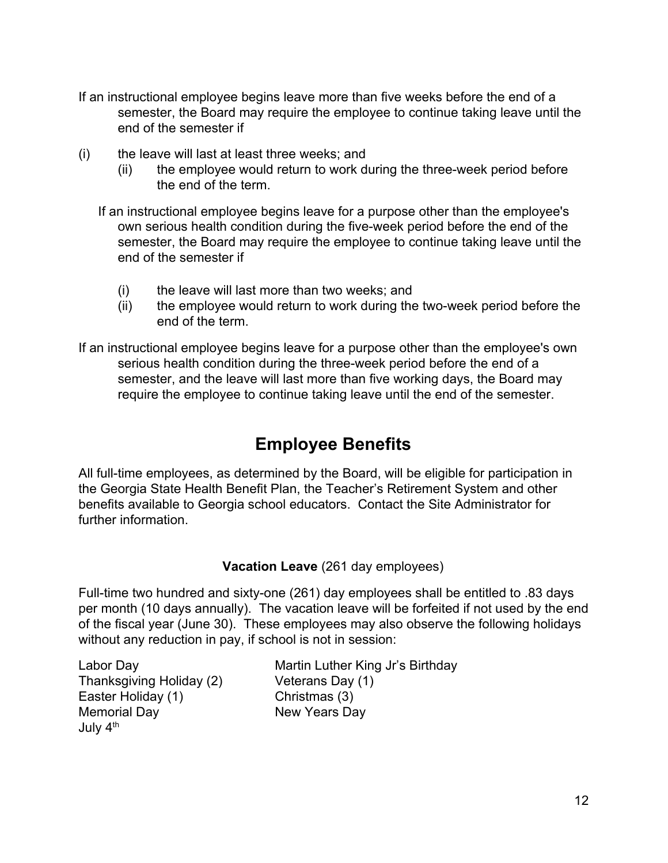- If an instructional employee begins leave more than five weeks before the end of a semester, the Board may require the employee to continue taking leave until the end of the semester if
- (i) the leave will last at least three weeks; and
	- (ii) the employee would return to work during the three-week period before the end of the term.

If an instructional employee begins leave for a purpose other than the employee's own serious health condition during the five-week period before the end of the semester, the Board may require the employee to continue taking leave until the end of the semester if

- (i) the leave will last more than two weeks; and
- (ii) the employee would return to work during the two-week period before the end of the term.

If an instructional employee begins leave for a purpose other than the employee's own serious health condition during the three-week period before the end of a semester, and the leave will last more than five working days, the Board may require the employee to continue taking leave until the end of the semester.

## **Employee Benefits**

All full-time employees, as determined by the Board, will be eligible for participation in the Georgia State Health Benefit Plan, the Teacher's Retirement System and other benefits available to Georgia school educators. Contact the Site Administrator for further information.

#### **Vacation Leave** (261 day employees)

Full-time two hundred and sixty-one (261) day employees shall be entitled to .83 days per month (10 days annually). The vacation leave will be forfeited if not used by the end of the fiscal year (June 30). These employees may also observe the following holidays without any reduction in pay, if school is not in session:

Thanksgiving Holiday (2) Veterans Day (1) Easter Holiday (1) Christmas (3) Memorial Day New Years Day July 4<sup>th</sup>

Labor Day **Martin Luther King Jr's Birthday**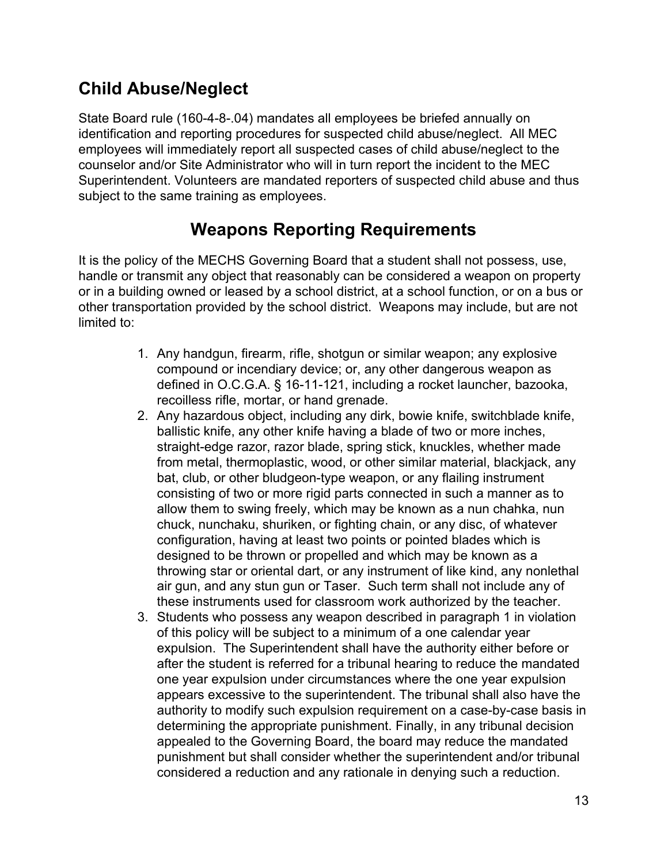## **Child Abuse/Neglect**

State Board rule (160-4-8-.04) mandates all employees be briefed annually on identification and reporting procedures for suspected child abuse/neglect. All MEC employees will immediately report all suspected cases of child abuse/neglect to the counselor and/or Site Administrator who will in turn report the incident to the MEC Superintendent. Volunteers are mandated reporters of suspected child abuse and thus subject to the same training as employees.

## **Weapons Reporting Requirements**

It is the policy of the MECHS Governing Board that a student shall not possess, use, handle or transmit any object that reasonably can be considered a weapon on property or in a building owned or leased by a school district, at a school function, or on a bus or other transportation provided by the school district. Weapons may include, but are not limited to:

- 1. Any handgun, firearm, rifle, shotgun or similar weapon; any explosive compound or incendiary device; or, any other dangerous weapon as defined in O.C.G.A. § 16-11-121, including a rocket launcher, bazooka, recoilless rifle, mortar, or hand grenade.
- 2. Any hazardous object, including any dirk, bowie knife, switchblade knife, ballistic knife, any other knife having a blade of two or more inches, straight-edge razor, razor blade, spring stick, knuckles, whether made from metal, thermoplastic, wood, or other similar material, blackjack, any bat, club, or other bludgeon-type weapon, or any flailing instrument consisting of two or more rigid parts connected in such a manner as to allow them to swing freely, which may be known as a nun chahka, nun chuck, nunchaku, shuriken, or fighting chain, or any disc, of whatever configuration, having at least two points or pointed blades which is designed to be thrown or propelled and which may be known as a throwing star or oriental dart, or any instrument of like kind, any nonlethal air gun, and any stun gun or Taser. Such term shall not include any of these instruments used for classroom work authorized by the teacher.
- 3. Students who possess any weapon described in paragraph 1 in violation of this policy will be subject to a minimum of a one calendar year expulsion. The Superintendent shall have the authority either before or after the student is referred for a tribunal hearing to reduce the mandated one year expulsion under circumstances where the one year expulsion appears excessive to the superintendent. The tribunal shall also have the authority to modify such expulsion requirement on a case-by-case basis in determining the appropriate punishment. Finally, in any tribunal decision appealed to the Governing Board, the board may reduce the mandated punishment but shall consider whether the superintendent and/or tribunal considered a reduction and any rationale in denying such a reduction.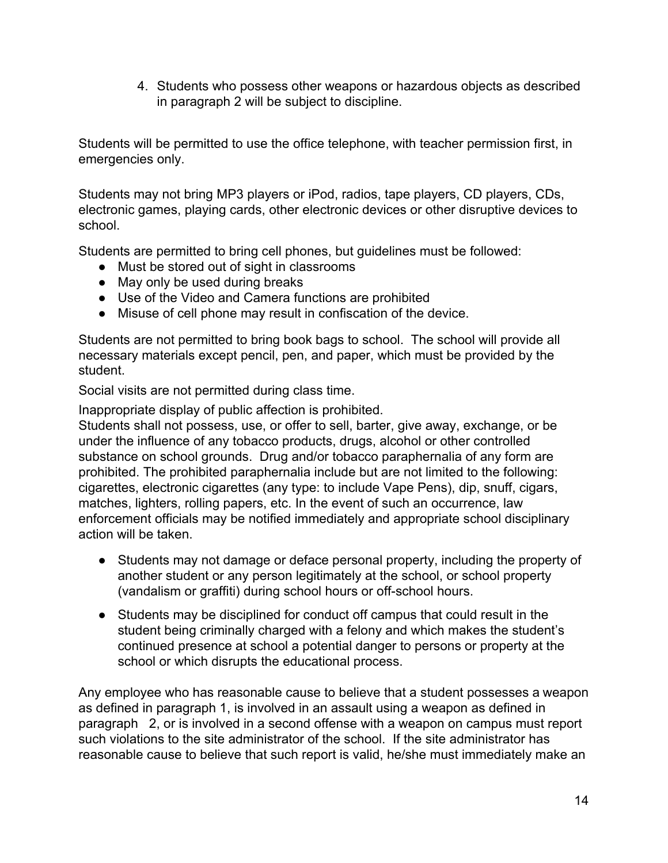4. Students who possess other weapons or hazardous objects as described in paragraph 2 will be subject to discipline.

Students will be permitted to use the office telephone, with teacher permission first, in emergencies only.

Students may not bring MP3 players or iPod, radios, tape players, CD players, CDs, electronic games, playing cards, other electronic devices or other disruptive devices to school.

Students are permitted to bring cell phones, but guidelines must be followed:

- Must be stored out of sight in classrooms
- May only be used during breaks
- Use of the Video and Camera functions are prohibited
- Misuse of cell phone may result in confiscation of the device.

Students are not permitted to bring book bags to school. The school will provide all necessary materials except pencil, pen, and paper, which must be provided by the student.

Social visits are not permitted during class time.

Inappropriate display of public affection is prohibited.

Students shall not possess, use, or offer to sell, barter, give away, exchange, or be under the influence of any tobacco products, drugs, alcohol or other controlled substance on school grounds. Drug and/or tobacco paraphernalia of any form are prohibited. The prohibited paraphernalia include but are not limited to the following: cigarettes, electronic cigarettes (any type: to include Vape Pens), dip, snuff, cigars, matches, lighters, rolling papers, etc. In the event of such an occurrence, law enforcement officials may be notified immediately and appropriate school disciplinary action will be taken.

- Students may not damage or deface personal property, including the property of another student or any person legitimately at the school, or school property (vandalism or graffiti) during school hours or off-school hours.
- Students may be disciplined for conduct off campus that could result in the student being criminally charged with a felony and which makes the student's continued presence at school a potential danger to persons or property at the school or which disrupts the educational process.

Any employee who has reasonable cause to believe that a student possesses a weapon as defined in paragraph 1, is involved in an assault using a weapon as defined in paragraph 2, or is involved in a second offense with a weapon on campus must report such violations to the site administrator of the school. If the site administrator has reasonable cause to believe that such report is valid, he/she must immediately make an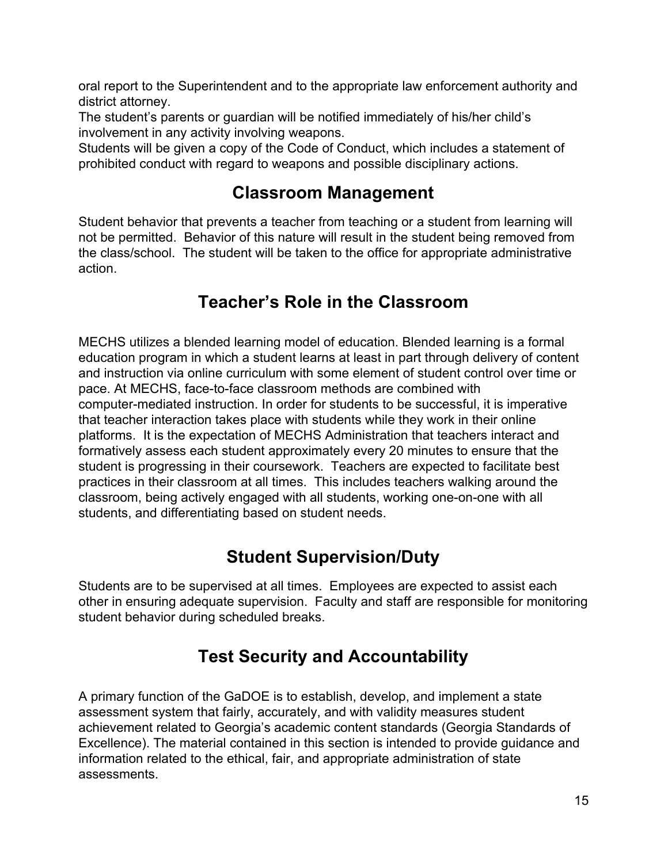oral report to the Superintendent and to the appropriate law enforcement authority and district attorney.

The student's parents or guardian will be notified immediately of his/her child's involvement in any activity involving weapons.

Students will be given a copy of the Code of Conduct, which includes a statement of prohibited conduct with regard to weapons and possible disciplinary actions.

## **Classroom Management**

Student behavior that prevents a teacher from teaching or a student from learning will not be permitted. Behavior of this nature will result in the student being removed from the class/school. The student will be taken to the office for appropriate administrative action.

## **Teacher's Role in the Classroom**

MECHS utilizes a blended learning model of education. Blended learning is a formal education program in which a student learns at least in part through delivery of content and instruction via online curriculum with some element of student control over time or pace. At MECHS, face-to-face classroom methods are combined with computer-mediated instruction. In order for students to be successful, it is imperative that teacher interaction takes place with students while they work in their online platforms. It is the expectation of MECHS Administration that teachers interact and formatively assess each student approximately every 20 minutes to ensure that the student is progressing in their coursework. Teachers are expected to facilitate best practices in their classroom at all times. This includes teachers walking around the classroom, being actively engaged with all students, working one-on-one with all students, and differentiating based on student needs.

## **Student Supervision/Duty**

Students are to be supervised at all times. Employees are expected to assist each other in ensuring adequate supervision. Faculty and staff are responsible for monitoring student behavior during scheduled breaks.

## **Test Security and Accountability**

A primary function of the GaDOE is to establish, develop, and implement a state assessment system that fairly, accurately, and with validity measures student achievement related to Georgia's academic content standards (Georgia Standards of Excellence). The material contained in this section is intended to provide guidance and information related to the ethical, fair, and appropriate administration of state assessments.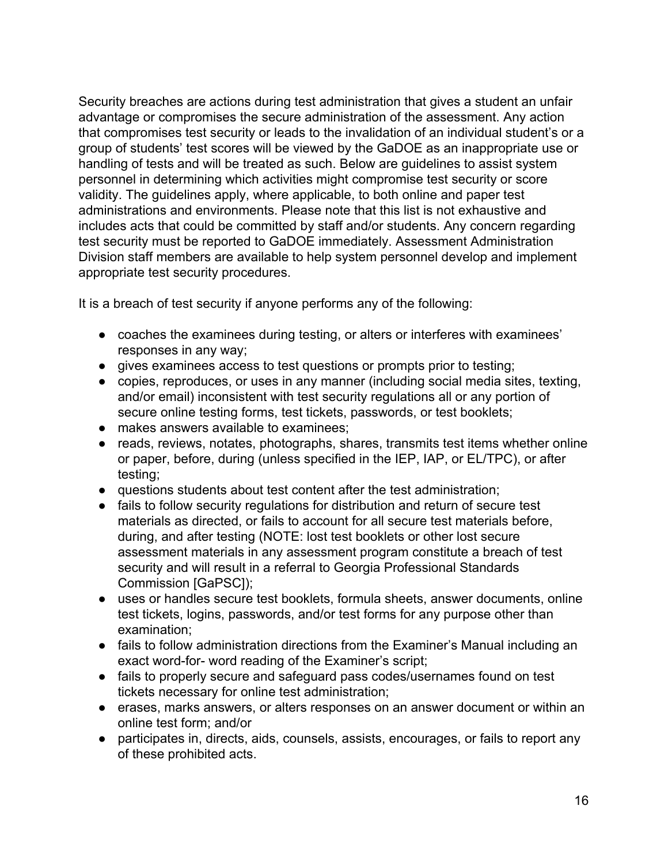Security breaches are actions during test administration that gives a student an unfair advantage or compromises the secure administration of the assessment. Any action that compromises test security or leads to the invalidation of an individual student's or a group of students' test scores will be viewed by the GaDOE as an inappropriate use or handling of tests and will be treated as such. Below are guidelines to assist system personnel in determining which activities might compromise test security or score validity. The guidelines apply, where applicable, to both online and paper test administrations and environments. Please note that this list is not exhaustive and includes acts that could be committed by staff and/or students. Any concern regarding test security must be reported to GaDOE immediately. Assessment Administration Division staff members are available to help system personnel develop and implement appropriate test security procedures.

It is a breach of test security if anyone performs any of the following:

- coaches the examinees during testing, or alters or interferes with examinees' responses in any way;
- gives examinees access to test questions or prompts prior to testing;
- copies, reproduces, or uses in any manner (including social media sites, texting, and/or email) inconsistent with test security regulations all or any portion of secure online testing forms, test tickets, passwords, or test booklets;
- makes answers available to examinees;
- reads, reviews, notates, photographs, shares, transmits test items whether online or paper, before, during (unless specified in the IEP, IAP, or EL/TPC), or after testing;
- questions students about test content after the test administration;
- fails to follow security regulations for distribution and return of secure test materials as directed, or fails to account for all secure test materials before, during, and after testing (NOTE: lost test booklets or other lost secure assessment materials in any assessment program constitute a breach of test security and will result in a referral to Georgia Professional Standards Commission [GaPSC]);
- uses or handles secure test booklets, formula sheets, answer documents, online test tickets, logins, passwords, and/or test forms for any purpose other than examination;
- fails to follow administration directions from the Examiner's Manual including an exact word-for- word reading of the Examiner's script;
- fails to properly secure and safeguard pass codes/usernames found on test tickets necessary for online test administration;
- erases, marks answers, or alters responses on an answer document or within an online test form; and/or
- participates in, directs, aids, counsels, assists, encourages, or fails to report any of these prohibited acts.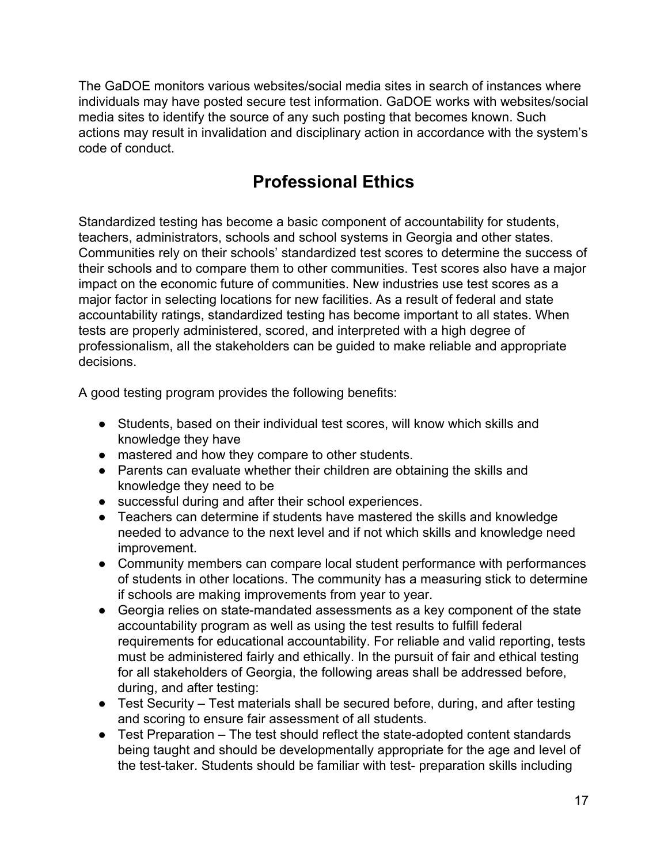The GaDOE monitors various websites/social media sites in search of instances where individuals may have posted secure test information. GaDOE works with websites/social media sites to identify the source of any such posting that becomes known. Such actions may result in invalidation and disciplinary action in accordance with the system's code of conduct.

## **Professional Ethics**

Standardized testing has become a basic component of accountability for students, teachers, administrators, schools and school systems in Georgia and other states. Communities rely on their schools' standardized test scores to determine the success of their schools and to compare them to other communities. Test scores also have a major impact on the economic future of communities. New industries use test scores as a major factor in selecting locations for new facilities. As a result of federal and state accountability ratings, standardized testing has become important to all states. When tests are properly administered, scored, and interpreted with a high degree of professionalism, all the stakeholders can be guided to make reliable and appropriate decisions.

A good testing program provides the following benefits:

- Students, based on their individual test scores, will know which skills and knowledge they have
- mastered and how they compare to other students.
- Parents can evaluate whether their children are obtaining the skills and knowledge they need to be
- successful during and after their school experiences.
- Teachers can determine if students have mastered the skills and knowledge needed to advance to the next level and if not which skills and knowledge need improvement.
- Community members can compare local student performance with performances of students in other locations. The community has a measuring stick to determine if schools are making improvements from year to year.
- Georgia relies on state-mandated assessments as a key component of the state accountability program as well as using the test results to fulfill federal requirements for educational accountability. For reliable and valid reporting, tests must be administered fairly and ethically. In the pursuit of fair and ethical testing for all stakeholders of Georgia, the following areas shall be addressed before, during, and after testing:
- Test Security Test materials shall be secured before, during, and after testing and scoring to ensure fair assessment of all students.
- Test Preparation The test should reflect the state-adopted content standards being taught and should be developmentally appropriate for the age and level of the test-taker. Students should be familiar with test- preparation skills including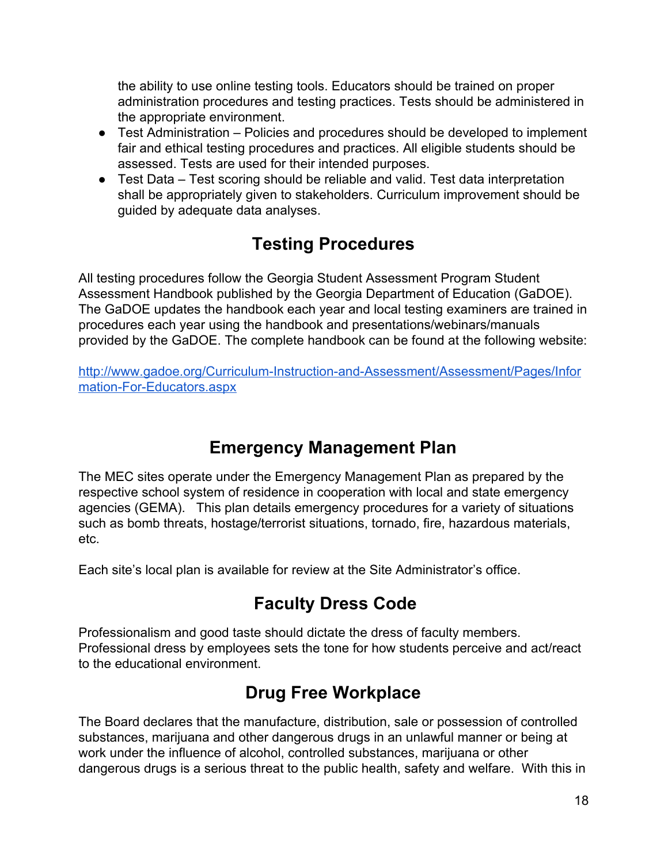the ability to use online testing tools. Educators should be trained on proper administration procedures and testing practices. Tests should be administered in the appropriate environment.

- Test Administration Policies and procedures should be developed to implement fair and ethical testing procedures and practices. All eligible students should be assessed. Tests are used for their intended purposes.
- Test Data Test scoring should be reliable and valid. Test data interpretation shall be appropriately given to stakeholders. Curriculum improvement should be guided by adequate data analyses.

## **Testing Procedures**

All testing procedures follow the Georgia Student Assessment Program Student Assessment Handbook published by the Georgia Department of Education (GaDOE). The GaDOE updates the handbook each year and local testing examiners are trained in procedures each year using the handbook and presentations/webinars/manuals provided by the GaDOE. The complete handbook can be found at the following website:

[http://www.gadoe.org/Curriculum-Instruction-and-Assessment/Assessment/Pages/Infor](http://www.gadoe.org/Curriculum-Instruction-and-Assessment/Assessment/Pages/Information-For-Educators.aspx) [mation-For-Educators.aspx](http://www.gadoe.org/Curriculum-Instruction-and-Assessment/Assessment/Pages/Information-For-Educators.aspx)

## **Emergency Management Plan**

The MEC sites operate under the Emergency Management Plan as prepared by the respective school system of residence in cooperation with local and state emergency agencies (GEMA). This plan details emergency procedures for a variety of situations such as bomb threats, hostage/terrorist situations, tornado, fire, hazardous materials, etc.

Each site's local plan is available for review at the Site Administrator's office.

## **Faculty Dress Code**

Professionalism and good taste should dictate the dress of faculty members. Professional dress by employees sets the tone for how students perceive and act/react to the educational environment.

## **Drug Free Workplace**

The Board declares that the manufacture, distribution, sale or possession of controlled substances, marijuana and other dangerous drugs in an unlawful manner or being at work under the influence of alcohol, controlled substances, marijuana or other dangerous drugs is a serious threat to the public health, safety and welfare. With this in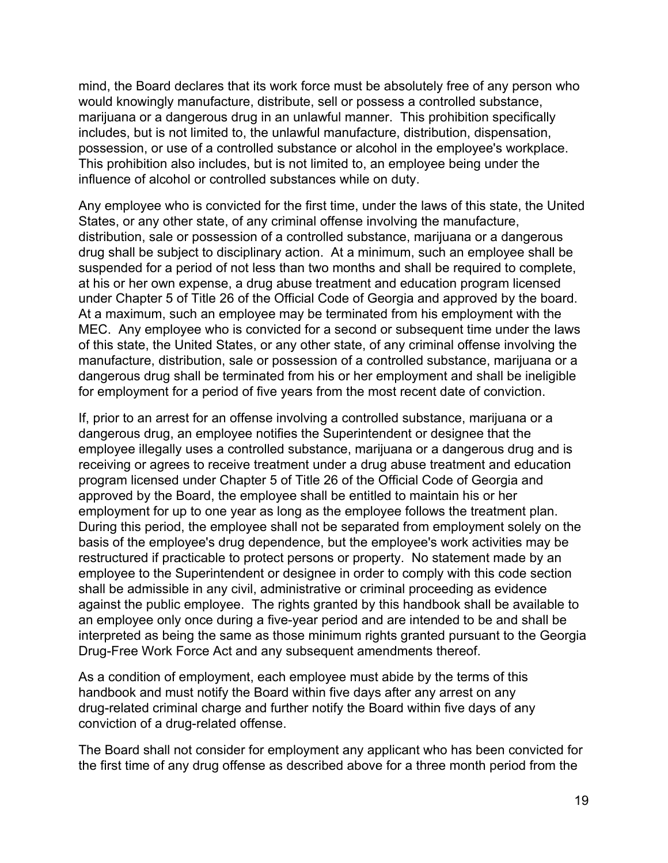mind, the Board declares that its work force must be absolutely free of any person who would knowingly manufacture, distribute, sell or possess a controlled substance, marijuana or a dangerous drug in an unlawful manner. This prohibition specifically includes, but is not limited to, the unlawful manufacture, distribution, dispensation, possession, or use of a controlled substance or alcohol in the employee's workplace. This prohibition also includes, but is not limited to, an employee being under the influence of alcohol or controlled substances while on duty.

Any employee who is convicted for the first time, under the laws of this state, the United States, or any other state, of any criminal offense involving the manufacture, distribution, sale or possession of a controlled substance, marijuana or a dangerous drug shall be subject to disciplinary action. At a minimum, such an employee shall be suspended for a period of not less than two months and shall be required to complete, at his or her own expense, a drug abuse treatment and education program licensed under Chapter 5 of Title 26 of the Official Code of Georgia and approved by the board. At a maximum, such an employee may be terminated from his employment with the MEC. Any employee who is convicted for a second or subsequent time under the laws of this state, the United States, or any other state, of any criminal offense involving the manufacture, distribution, sale or possession of a controlled substance, marijuana or a dangerous drug shall be terminated from his or her employment and shall be ineligible for employment for a period of five years from the most recent date of conviction.

If, prior to an arrest for an offense involving a controlled substance, marijuana or a dangerous drug, an employee notifies the Superintendent or designee that the employee illegally uses a controlled substance, marijuana or a dangerous drug and is receiving or agrees to receive treatment under a drug abuse treatment and education program licensed under Chapter 5 of Title 26 of the Official Code of Georgia and approved by the Board, the employee shall be entitled to maintain his or her employment for up to one year as long as the employee follows the treatment plan. During this period, the employee shall not be separated from employment solely on the basis of the employee's drug dependence, but the employee's work activities may be restructured if practicable to protect persons or property. No statement made by an employee to the Superintendent or designee in order to comply with this code section shall be admissible in any civil, administrative or criminal proceeding as evidence against the public employee. The rights granted by this handbook shall be available to an employee only once during a five-year period and are intended to be and shall be interpreted as being the same as those minimum rights granted pursuant to the Georgia Drug-Free Work Force Act and any subsequent amendments thereof.

As a condition of employment, each employee must abide by the terms of this handbook and must notify the Board within five days after any arrest on any drug-related criminal charge and further notify the Board within five days of any conviction of a drug-related offense.

The Board shall not consider for employment any applicant who has been convicted for the first time of any drug offense as described above for a three month period from the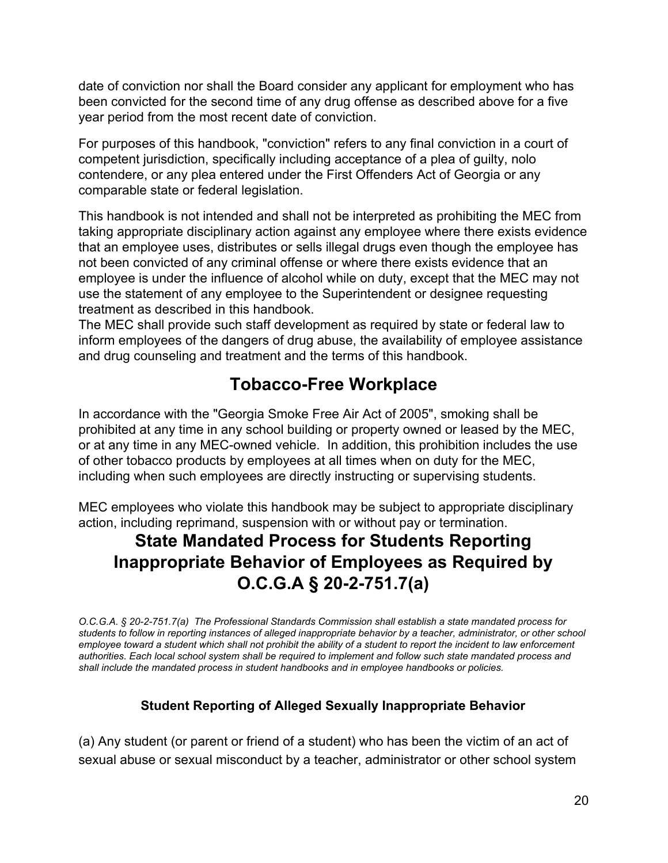date of conviction nor shall the Board consider any applicant for employment who has been convicted for the second time of any drug offense as described above for a five year period from the most recent date of conviction.

For purposes of this handbook, "conviction" refers to any final conviction in a court of competent jurisdiction, specifically including acceptance of a plea of guilty, nolo contendere, or any plea entered under the First Offenders Act of Georgia or any comparable state or federal legislation.

This handbook is not intended and shall not be interpreted as prohibiting the MEC from taking appropriate disciplinary action against any employee where there exists evidence that an employee uses, distributes or sells illegal drugs even though the employee has not been convicted of any criminal offense or where there exists evidence that an employee is under the influence of alcohol while on duty, except that the MEC may not use the statement of any employee to the Superintendent or designee requesting treatment as described in this handbook.

The MEC shall provide such staff development as required by state or federal law to inform employees of the dangers of drug abuse, the availability of employee assistance and drug counseling and treatment and the terms of this handbook.

## **Tobacco-Free Workplace**

In accordance with the "Georgia Smoke Free Air Act of 2005", smoking shall be prohibited at any time in any school building or property owned or leased by the MEC, or at any time in any MEC-owned vehicle. In addition, this prohibition includes the use of other tobacco products by employees at all times when on duty for the MEC, including when such employees are directly instructing or supervising students.

MEC employees who violate this handbook may be subject to appropriate disciplinary action, including reprimand, suspension with or without pay or termination.

## **State Mandated Process for Students Reporting Inappropriate Behavior of Employees as Required by O.C.G.A § 20-2-751.7(a)**

*O.C.G.A. § 20-2-751.7(a) The Professional Standards Commission shall establish a state mandated process for students to follow in reporting instances of alleged inappropriate behavior by a teacher, administrator, or other school employee toward a student which shall not prohibit the ability of a student to report the incident to law enforcement authorities. Each local school system shall be required to implement and follow such state mandated process and shall include the mandated process in student handbooks and in employee handbooks or policies.*

#### **Student Reporting of Alleged Sexually Inappropriate Behavior**

(a) Any student (or parent or friend of a student) who has been the victim of an act of sexual abuse or sexual misconduct by a teacher, administrator or other school system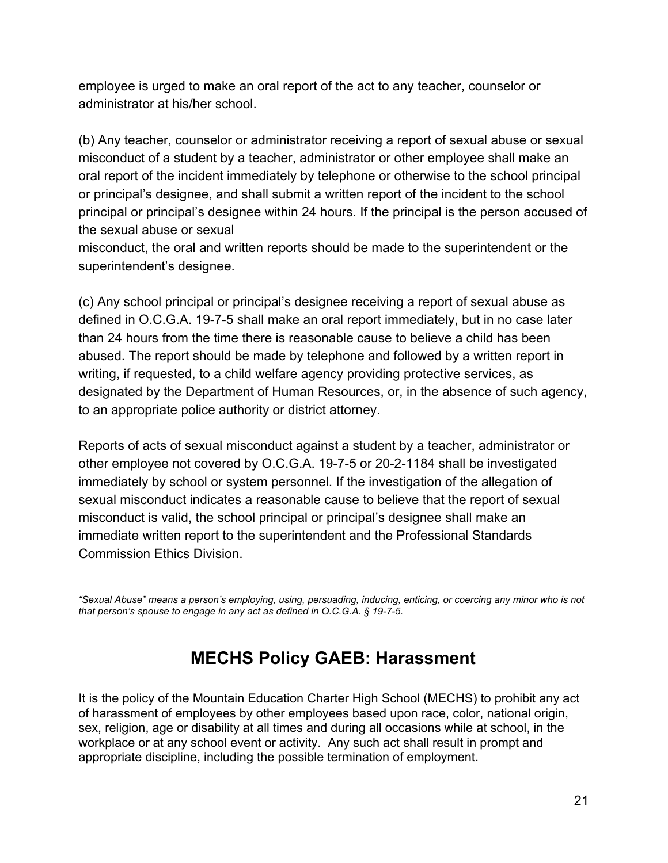employee is urged to make an oral report of the act to any teacher, counselor or administrator at his/her school.

(b) Any teacher, counselor or administrator receiving a report of sexual abuse or sexual misconduct of a student by a teacher, administrator or other employee shall make an oral report of the incident immediately by telephone or otherwise to the school principal or principal's designee, and shall submit a written report of the incident to the school principal or principal's designee within 24 hours. If the principal is the person accused of the sexual abuse or sexual

misconduct, the oral and written reports should be made to the superintendent or the superintendent's designee.

(c) Any school principal or principal's designee receiving a report of sexual abuse as defined in O.C.G.A. 19-7-5 shall make an oral report immediately, but in no case later than 24 hours from the time there is reasonable cause to believe a child has been abused. The report should be made by telephone and followed by a written report in writing, if requested, to a child welfare agency providing protective services, as designated by the Department of Human Resources, or, in the absence of such agency, to an appropriate police authority or district attorney.

Reports of acts of sexual misconduct against a student by a teacher, administrator or other employee not covered by O.C.G.A. 19-7-5 or 20-2-1184 shall be investigated immediately by school or system personnel. If the investigation of the allegation of sexual misconduct indicates a reasonable cause to believe that the report of sexual misconduct is valid, the school principal or principal's designee shall make an immediate written report to the superintendent and the Professional Standards Commission Ethics Division.

*"Sexual Abuse" means a person's employing, using, persuading, inducing, enticing, or coercing any minor who is not that person's spouse to engage in any act as defined in O.C.G.A. § 19-7-5.*

## **MECHS Policy GAEB: Harassment**

It is the policy of the Mountain Education Charter High School (MECHS) to prohibit any act of harassment of employees by other employees based upon race, color, national origin, sex, religion, age or disability at all times and during all occasions while at school, in the workplace or at any school event or activity. Any such act shall result in prompt and appropriate discipline, including the possible termination of employment.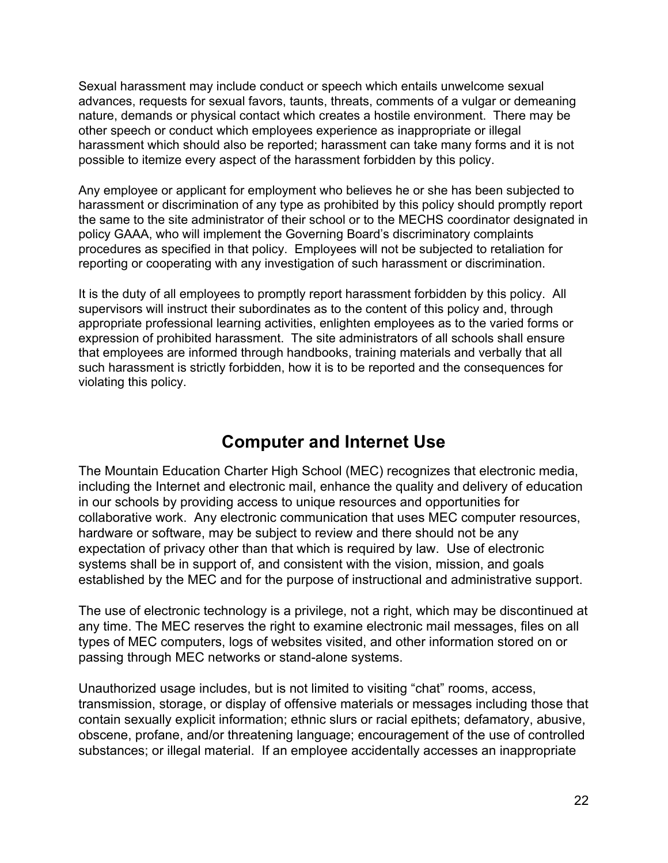Sexual harassment may include conduct or speech which entails unwelcome sexual advances, requests for sexual favors, taunts, threats, comments of a vulgar or demeaning nature, demands or physical contact which creates a hostile environment. There may be other speech or conduct which employees experience as inappropriate or illegal harassment which should also be reported; harassment can take many forms and it is not possible to itemize every aspect of the harassment forbidden by this policy.

Any employee or applicant for employment who believes he or she has been subjected to harassment or discrimination of any type as prohibited by this policy should promptly report the same to the site administrator of their school or to the MECHS coordinator designated in policy GAAA, who will implement the Governing Board's discriminatory complaints procedures as specified in that policy. Employees will not be subjected to retaliation for reporting or cooperating with any investigation of such harassment or discrimination.

It is the duty of all employees to promptly report harassment forbidden by this policy. All supervisors will instruct their subordinates as to the content of this policy and, through appropriate professional learning activities, enlighten employees as to the varied forms or expression of prohibited harassment. The site administrators of all schools shall ensure that employees are informed through handbooks, training materials and verbally that all such harassment is strictly forbidden, how it is to be reported and the consequences for violating this policy.

## **Computer and Internet Use**

The Mountain Education Charter High School (MEC) recognizes that electronic media, including the Internet and electronic mail, enhance the quality and delivery of education in our schools by providing access to unique resources and opportunities for collaborative work. Any electronic communication that uses MEC computer resources, hardware or software, may be subject to review and there should not be any expectation of privacy other than that which is required by law. Use of electronic systems shall be in support of, and consistent with the vision, mission, and goals established by the MEC and for the purpose of instructional and administrative support.

The use of electronic technology is a privilege, not a right, which may be discontinued at any time. The MEC reserves the right to examine electronic mail messages, files on all types of MEC computers, logs of websites visited, and other information stored on or passing through MEC networks or stand-alone systems.

Unauthorized usage includes, but is not limited to visiting "chat" rooms, access, transmission, storage, or display of offensive materials or messages including those that contain sexually explicit information; ethnic slurs or racial epithets; defamatory, abusive, obscene, profane, and/or threatening language; encouragement of the use of controlled substances; or illegal material. If an employee accidentally accesses an inappropriate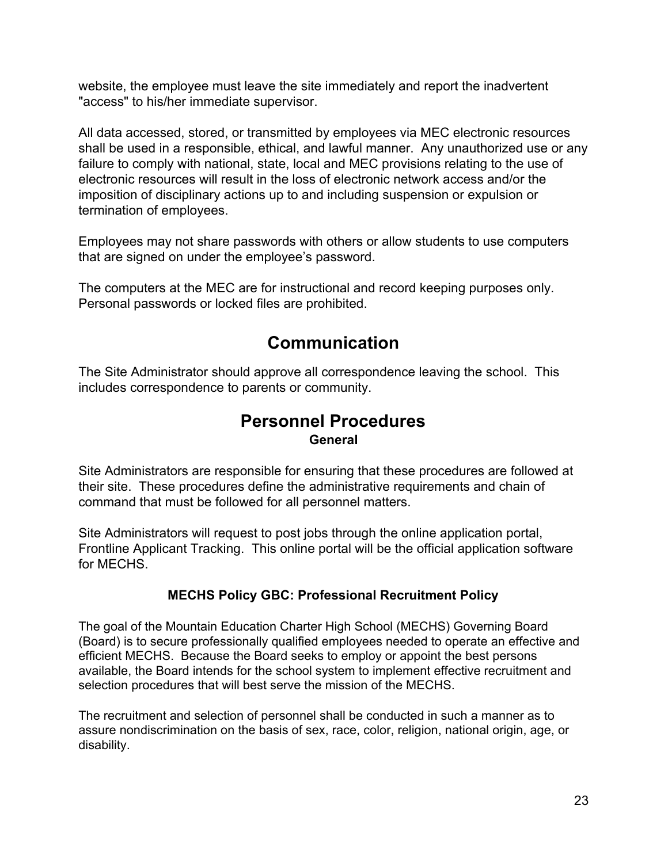website, the employee must leave the site immediately and report the inadvertent "access" to his/her immediate supervisor.

All data accessed, stored, or transmitted by employees via MEC electronic resources shall be used in a responsible, ethical, and lawful manner. Any unauthorized use or any failure to comply with national, state, local and MEC provisions relating to the use of electronic resources will result in the loss of electronic network access and/or the imposition of disciplinary actions up to and including suspension or expulsion or termination of employees.

Employees may not share passwords with others or allow students to use computers that are signed on under the employee's password.

The computers at the MEC are for instructional and record keeping purposes only. Personal passwords or locked files are prohibited.

## **Communication**

The Site Administrator should approve all correspondence leaving the school. This includes correspondence to parents or community.

#### **Personnel Procedures General**

Site Administrators are responsible for ensuring that these procedures are followed at their site. These procedures define the administrative requirements and chain of command that must be followed for all personnel matters.

Site Administrators will request to post jobs through the online application portal, Frontline Applicant Tracking. This online portal will be the official application software for MECHS.

#### **MECHS Policy GBC: Professional Recruitment Policy**

The goal of the Mountain Education Charter High School (MECHS) Governing Board (Board) is to secure professionally qualified employees needed to operate an effective and efficient MECHS. Because the Board seeks to employ or appoint the best persons available, the Board intends for the school system to implement effective recruitment and selection procedures that will best serve the mission of the MECHS.

The recruitment and selection of personnel shall be conducted in such a manner as to assure nondiscrimination on the basis of sex, race, color, religion, national origin, age, or disability.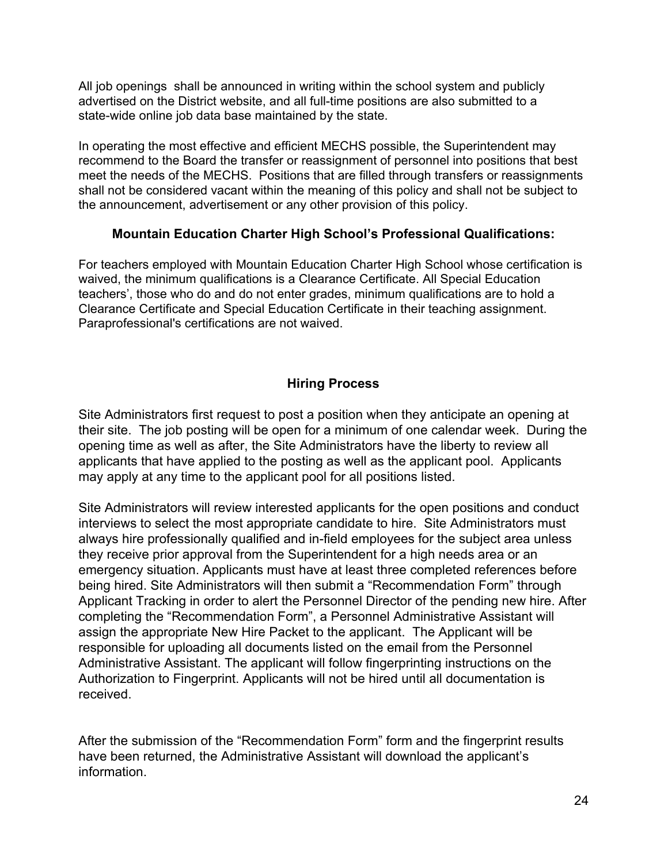All job openings shall be announced in writing within the school system and publicly advertised on the District website, and all full-time positions are also submitted to a state-wide online job data base maintained by the state.

In operating the most effective and efficient MECHS possible, the Superintendent may recommend to the Board the transfer or reassignment of personnel into positions that best meet the needs of the MECHS. Positions that are filled through transfers or reassignments shall not be considered vacant within the meaning of this policy and shall not be subject to the announcement, advertisement or any other provision of this policy.

#### **Mountain Education Charter High School's Professional Qualifications:**

For teachers employed with Mountain Education Charter High School whose certification is waived, the minimum qualifications is a Clearance Certificate. All Special Education teachers', those who do and do not enter grades, minimum qualifications are to hold a Clearance Certificate and Special Education Certificate in their teaching assignment. Paraprofessional's certifications are not waived.

#### **Hiring Process**

Site Administrators first request to post a position when they anticipate an opening at their site. The job posting will be open for a minimum of one calendar week. During the opening time as well as after, the Site Administrators have the liberty to review all applicants that have applied to the posting as well as the applicant pool. Applicants may apply at any time to the applicant pool for all positions listed.

Site Administrators will review interested applicants for the open positions and conduct interviews to select the most appropriate candidate to hire. Site Administrators must always hire professionally qualified and in-field employees for the subject area unless they receive prior approval from the Superintendent for a high needs area or an emergency situation. Applicants must have at least three completed references before being hired. Site Administrators will then submit a "Recommendation Form" through Applicant Tracking in order to alert the Personnel Director of the pending new hire. After completing the "Recommendation Form", a Personnel Administrative Assistant will assign the appropriate New Hire Packet to the applicant. The Applicant will be responsible for uploading all documents listed on the email from the Personnel Administrative Assistant. The applicant will follow fingerprinting instructions on the Authorization to Fingerprint. Applicants will not be hired until all documentation is received.

After the submission of the "Recommendation Form" form and the fingerprint results have been returned, the Administrative Assistant will download the applicant's information.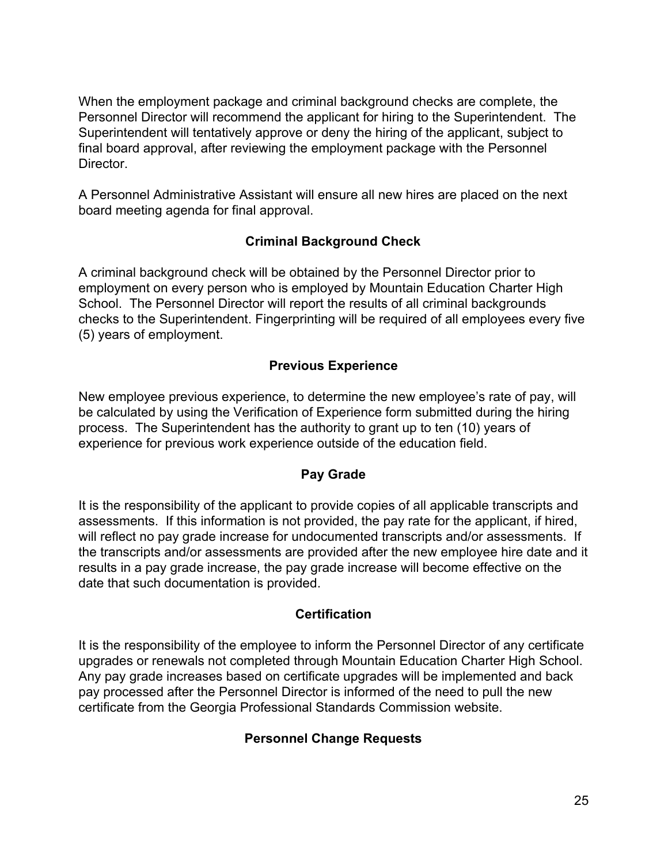When the employment package and criminal background checks are complete, the Personnel Director will recommend the applicant for hiring to the Superintendent. The Superintendent will tentatively approve or deny the hiring of the applicant, subject to final board approval, after reviewing the employment package with the Personnel Director.

A Personnel Administrative Assistant will ensure all new hires are placed on the next board meeting agenda for final approval.

#### **Criminal Background Check**

A criminal background check will be obtained by the Personnel Director prior to employment on every person who is employed by Mountain Education Charter High School. The Personnel Director will report the results of all criminal backgrounds checks to the Superintendent. Fingerprinting will be required of all employees every five (5) years of employment.

#### **Previous Experience**

New employee previous experience, to determine the new employee's rate of pay, will be calculated by using the Verification of Experience form submitted during the hiring process. The Superintendent has the authority to grant up to ten (10) years of experience for previous work experience outside of the education field.

#### **Pay Grade**

It is the responsibility of the applicant to provide copies of all applicable transcripts and assessments. If this information is not provided, the pay rate for the applicant, if hired, will reflect no pay grade increase for undocumented transcripts and/or assessments. If the transcripts and/or assessments are provided after the new employee hire date and it results in a pay grade increase, the pay grade increase will become effective on the date that such documentation is provided.

#### **Certification**

It is the responsibility of the employee to inform the Personnel Director of any certificate upgrades or renewals not completed through Mountain Education Charter High School. Any pay grade increases based on certificate upgrades will be implemented and back pay processed after the Personnel Director is informed of the need to pull the new certificate from the Georgia Professional Standards Commission website.

#### **Personnel Change Requests**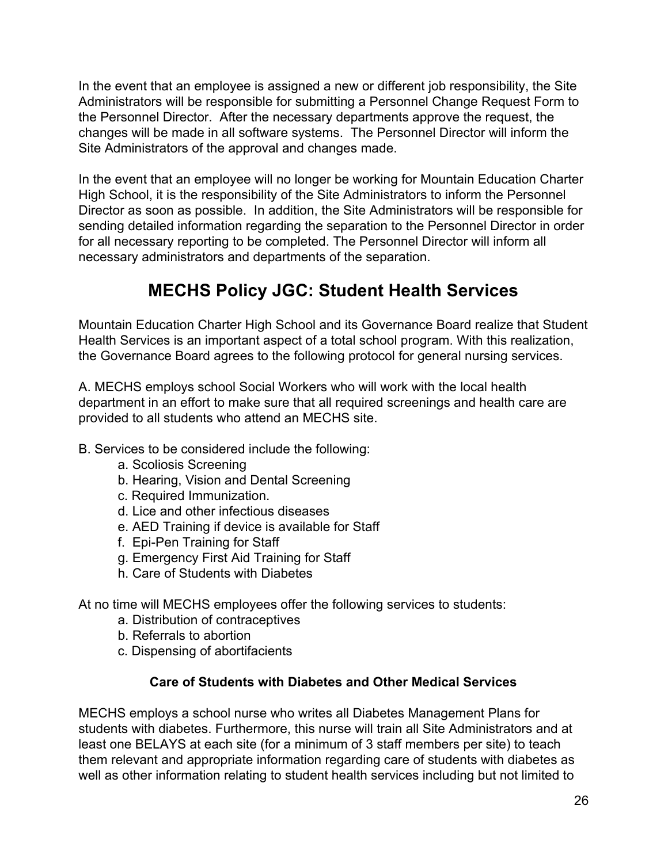In the event that an employee is assigned a new or different job responsibility, the Site Administrators will be responsible for submitting a Personnel Change Request Form to the Personnel Director. After the necessary departments approve the request, the changes will be made in all software systems. The Personnel Director will inform the Site Administrators of the approval and changes made.

In the event that an employee will no longer be working for Mountain Education Charter High School, it is the responsibility of the Site Administrators to inform the Personnel Director as soon as possible. In addition, the Site Administrators will be responsible for sending detailed information regarding the separation to the Personnel Director in order for all necessary reporting to be completed. The Personnel Director will inform all necessary administrators and departments of the separation.

## **MECHS Policy JGC: Student Health Services**

Mountain Education Charter High School and its Governance Board realize that Student Health Services is an important aspect of a total school program. With this realization, the Governance Board agrees to the following protocol for general nursing services.

A. MECHS employs school Social Workers who will work with the local health department in an effort to make sure that all required screenings and health care are provided to all students who attend an MECHS site.

- B. Services to be considered include the following:
	- a. Scoliosis Screening
	- b. Hearing, Vision and Dental Screening
	- c. Required Immunization.
	- d. Lice and other infectious diseases
	- e. AED Training if device is available for Staff
	- f. Epi-Pen Training for Staff
	- g. Emergency First Aid Training for Staff
	- h. Care of Students with Diabetes

At no time will MECHS employees offer the following services to students:

- a. Distribution of contraceptives
- b. Referrals to abortion
- c. Dispensing of abortifacients

#### **Care of Students with Diabetes and Other Medical Services**

MECHS employs a school nurse who writes all Diabetes Management Plans for students with diabetes. Furthermore, this nurse will train all Site Administrators and at least one BELAYS at each site (for a minimum of 3 staff members per site) to teach them relevant and appropriate information regarding care of students with diabetes as well as other information relating to student health services including but not limited to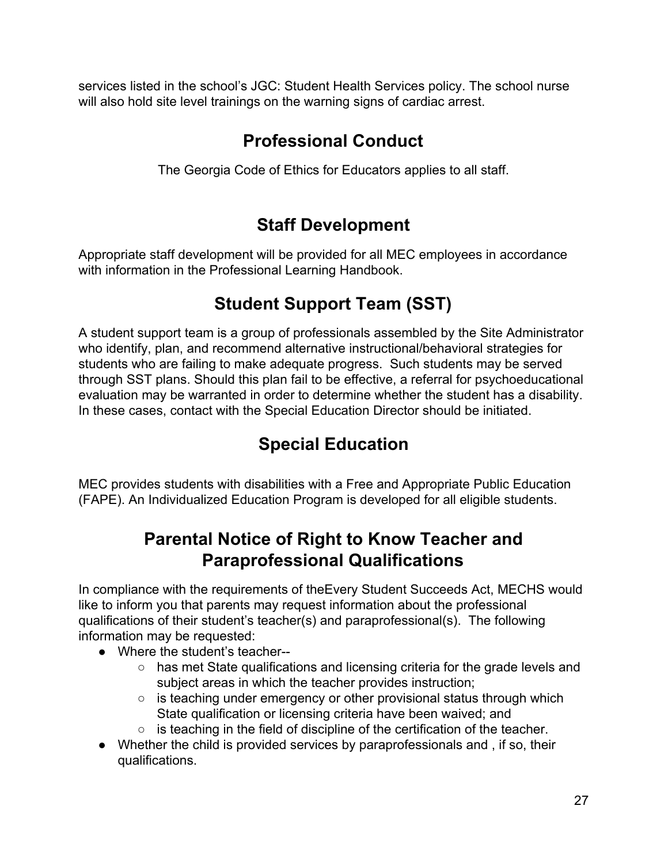services listed in the school's JGC: Student Health Services policy. The school nurse will also hold site level trainings on the warning signs of cardiac arrest.

## **Professional Conduct**

The Georgia Code of Ethics for Educators applies to all staff.

## **Staff Development**

Appropriate staff development will be provided for all MEC employees in accordance with information in the Professional Learning Handbook.

## **Student Support Team (SST)**

A student support team is a group of professionals assembled by the Site Administrator who identify, plan, and recommend alternative instructional/behavioral strategies for students who are failing to make adequate progress. Such students may be served through SST plans. Should this plan fail to be effective, a referral for psychoeducational evaluation may be warranted in order to determine whether the student has a disability. In these cases, contact with the Special Education Director should be initiated.

## **Special Education**

MEC provides students with disabilities with a Free and Appropriate Public Education (FAPE). An Individualized Education Program is developed for all eligible students.

## **Parental Notice of Right to Know Teacher and Paraprofessional Qualifications**

In compliance with the requirements of theEvery Student Succeeds Act, MECHS would like to inform you that parents may request information about the professional qualifications of their student's teacher(s) and paraprofessional(s). The following information may be requested:

- Where the student's teacher--
	- has met State qualifications and licensing criteria for the grade levels and subject areas in which the teacher provides instruction;
	- $\circ$  is teaching under emergency or other provisional status through which State qualification or licensing criteria have been waived; and
	- is teaching in the field of discipline of the certification of the teacher.
- Whether the child is provided services by paraprofessionals and , if so, their qualifications.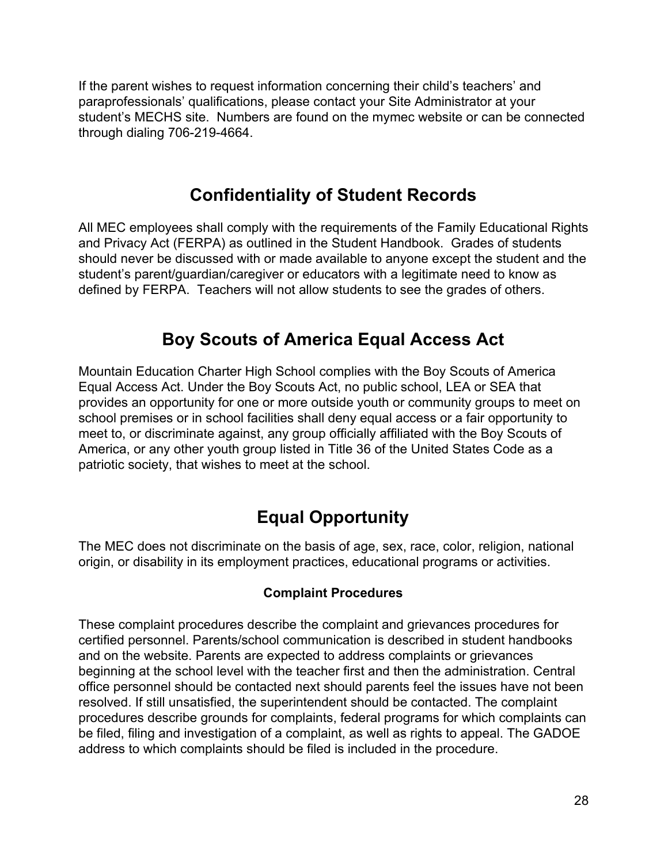If the parent wishes to request information concerning their child's teachers' and paraprofessionals' qualifications, please contact your Site Administrator at your student's MECHS site. Numbers are found on the mymec website or can be connected through dialing 706-219-4664.

## **Confidentiality of Student Records**

All MEC employees shall comply with the requirements of the Family Educational Rights and Privacy Act (FERPA) as outlined in the Student Handbook. Grades of students should never be discussed with or made available to anyone except the student and the student's parent/guardian/caregiver or educators with a legitimate need to know as defined by FERPA. Teachers will not allow students to see the grades of others.

## **Boy Scouts of America Equal Access Act**

Mountain Education Charter High School complies with the Boy Scouts of America Equal Access Act. Under the Boy Scouts Act, no public school, LEA or SEA that provides an opportunity for one or more outside youth or community groups to meet on school premises or in school facilities shall deny equal access or a fair opportunity to meet to, or discriminate against, any group officially affiliated with the Boy Scouts of America, or any other youth group listed in Title 36 of the United States Code as a patriotic society, that wishes to meet at the school.

## **Equal Opportunity**

The MEC does not discriminate on the basis of age, sex, race, color, religion, national origin, or disability in its employment practices, educational programs or activities.

#### **Complaint Procedures**

These complaint procedures describe the complaint and grievances procedures for certified personnel. Parents/school communication is described in student handbooks and on the website. Parents are expected to address complaints or grievances beginning at the school level with the teacher first and then the administration. Central office personnel should be contacted next should parents feel the issues have not been resolved. If still unsatisfied, the superintendent should be contacted. The complaint procedures describe grounds for complaints, federal programs for which complaints can be filed, filing and investigation of a complaint, as well as rights to appeal. The GADOE address to which complaints should be filed is included in the procedure.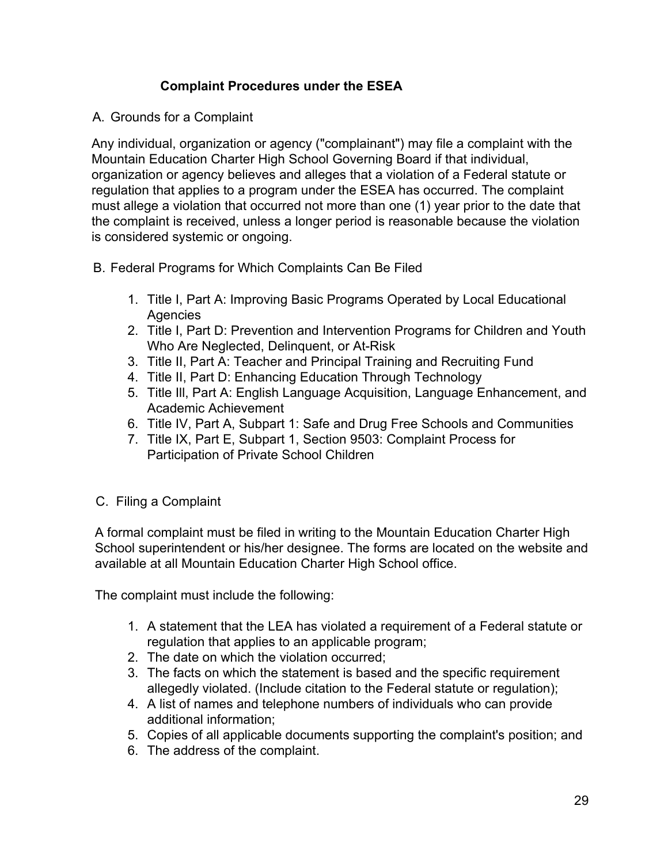#### **Complaint Procedures under the ESEA**

#### A. Grounds for a Complaint

Any individual, organization or agency ("complainant") may file a complaint with the Mountain Education Charter High School Governing Board if that individual, organization or agency believes and alleges that a violation of a Federal statute or regulation that applies to a program under the ESEA has occurred. The complaint must allege a violation that occurred not more than one (1) year prior to the date that the complaint is received, unless a longer period is reasonable because the violation is considered systemic or ongoing.

- B. Federal Programs for Which Complaints Can Be Filed
	- 1. Title I, Part A: Improving Basic Programs Operated by Local Educational **Agencies**
	- 2. Title I, Part D: Prevention and Intervention Programs for Children and Youth Who Are Neglected, Delinquent, or At-Risk
	- 3. Title II, Part A: Teacher and Principal Training and Recruiting Fund
	- 4. Title II, Part D: Enhancing Education Through Technology
	- 5. Title Ill, Part A: English Language Acquisition, Language Enhancement, and Academic Achievement
	- 6. Title IV, Part A, Subpart 1: Safe and Drug Free Schools and Communities
	- 7. Title IX, Part E, Subpart 1, Section 9503: Complaint Process for Participation of Private School Children
- C. Filing a Complaint

A formal complaint must be filed in writing to the Mountain Education Charter High School superintendent or his/her designee. The forms are located on the website and available at all Mountain Education Charter High School office.

The complaint must include the following:

- 1. A statement that the LEA has violated a requirement of a Federal statute or regulation that applies to an applicable program;
- 2. The date on which the violation occurred;
- 3. The facts on which the statement is based and the specific requirement allegedly violated. (Include citation to the Federal statute or regulation);
- 4. A list of names and telephone numbers of individuals who can provide additional information;
- 5. Copies of all applicable documents supporting the complaint's position; and
- 6. The address of the complaint.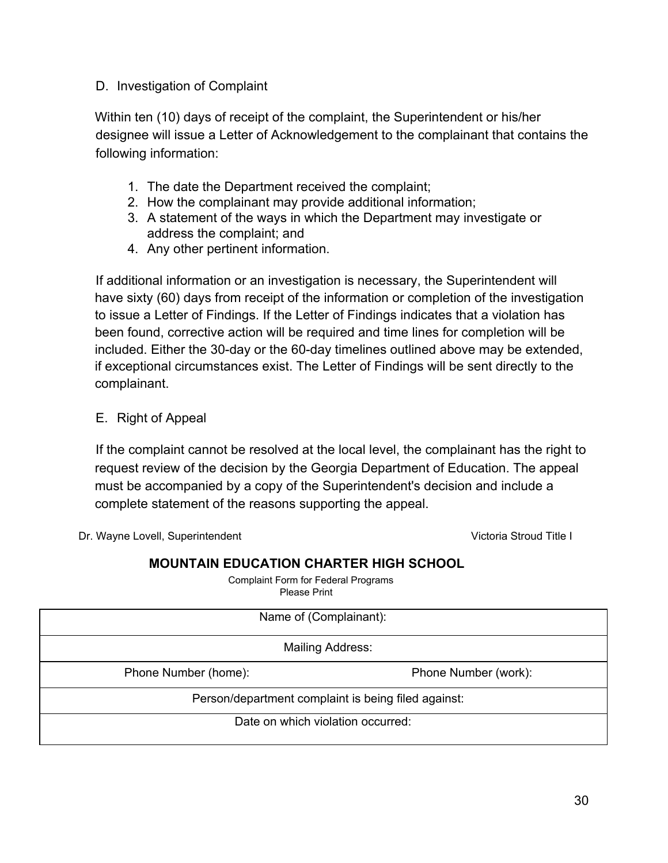#### D. Investigation of Complaint

Within ten (10) days of receipt of the complaint, the Superintendent or his/her designee will issue a Letter of Acknowledgement to the complainant that contains the following information:

- 1. The date the Department received the complaint;
- 2. How the complainant may provide additional information;
- 3. A statement of the ways in which the Department may investigate or address the complaint; and
- 4. Any other pertinent information.

If additional information or an investigation is necessary, the Superintendent will have sixty (60) days from receipt of the information or completion of the investigation to issue a Letter of Findings. If the Letter of Findings indicates that a violation has been found, corrective action will be required and time lines for completion will be included. Either the 30-day or the 60-day timelines outlined above may be extended, if exceptional circumstances exist. The Letter of Findings will be sent directly to the complainant.

#### E. Right of Appeal

If the complaint cannot be resolved at the local level, the complainant has the right to request review of the decision by the Georgia Department of Education. The appeal must be accompanied by a copy of the Superintendent's decision and include a complete statement of the reasons supporting the appeal.

Dr. Wayne Lovell, Superintendent Victoria Stroud Title I

#### **MOUNTAIN EDUCATION CHARTER HIGH SCHOOL**

Complaint Form for Federal Programs Please Print

| Name of (Complainant):                              |                      |  |
|-----------------------------------------------------|----------------------|--|
| Mailing Address:                                    |                      |  |
| Phone Number (home):                                | Phone Number (work): |  |
| Person/department complaint is being filed against: |                      |  |
| Date on which violation occurred:                   |                      |  |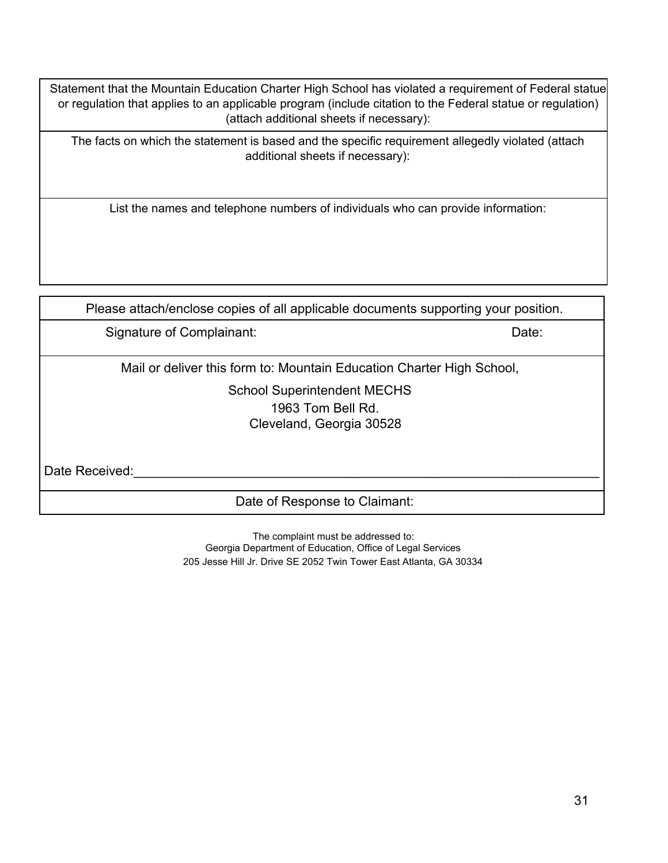Statement that the Mountain Education Charter High School has violated a requirement of Federal statue or regulation that applies to an applicable program (include citation to the Federal statue or regulation) (attach additional sheets if necessary):

The facts on which the statement is based and the specific requirement allegedly violated (attach additional sheets if necessary):

List the names and telephone numbers of individuals who can provide information:

Please attach/enclose copies of all applicable documents supporting your position.

Signature of Complainant: Date: Date: Date: Date: Date: Date: Date: Date: Date: Date: Date: Date: Date: Date: Date: Date: Date: Date: Date: Date: Date: Date: Date: Date: Date: Date: Date: Date: Date: Date: Date: Date: Date

Mail or deliver this form to: Mountain Education Charter High School,

School Superintendent MECHS 1963 Tom Bell Rd. Cleveland, Georgia 30528

Date Received:

Date of Response to Claimant:

The complaint must be addressed to: Georgia Department of Education, Office of Legal Services 205 Jesse Hill Jr. Drive SE 2052 Twin Tower East Atlanta, GA 30334